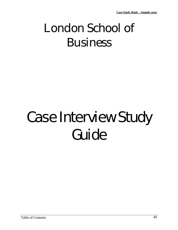## London School of Business

# Case Interview Study Guide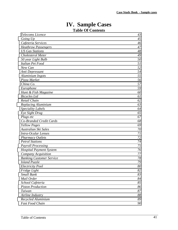## **IV. Sample Cases Table Of Contents**

| Telecoms Licence                | 43 |
|---------------------------------|----|
| Going Up                        | 45 |
| Cafeteria Services              | 46 |
| <b>Heathrow Passengers</b>      | 47 |
| <b>US Gas Stations</b>          | 48 |
| Cholesterol Meter               | 49 |
| 50 year Light Bulb              | 50 |
| Italian Pet Food                | 51 |
| New Can                         | 52 |
| Anti Depressant                 | 54 |
| Aluminium Ingots                | 55 |
| Pizza Market                    | 56 |
| China Co.                       | 57 |
| Europhone                       | 59 |
| Hunt & Fish Magazine            | 60 |
| <b>Bicycles</b> Ltd             | 61 |
| Retail Chain                    | 62 |
| Replacing Aluminium             | 63 |
| <b>Speciality Labels</b>        | 64 |
| Eye Sight Drug                  | 65 |
| Plugs etc                       | 67 |
| Co-Branded Credit Cards         | 68 |
| <b>Yellow Pages</b>             | 69 |
| Australian Ski Sales            | 70 |
| Intra-Ocular Lenses             | 71 |
| <b>Pharmacy Outlets</b>         | 72 |
| <b>Petrol Stations</b>          | 74 |
| <b>Payroll Processing</b>       | 75 |
| <b>Hospital Payment System</b>  | 76 |
| Company Acquisition             | 77 |
| <b>Banking Customer Service</b> | 78 |
| <b>Island Puzzle</b>            | 79 |
| Electricity Pool                | 80 |
| Fridge Light                    | 82 |
| <b>Small Bank</b>               | 83 |
| Mail Order                      | 84 |
| School Cafeteria                | 85 |
| <b>Piston Production</b>        | 86 |
| Taiwan                          | 87 |
| Airline Industry                | 88 |
| Recycled Aluminium              | 89 |
| Fast Food Chain                 | 90 |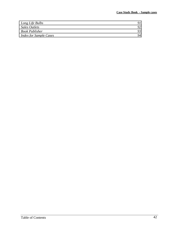| Long Life Bulbs               | Q) |
|-------------------------------|----|
| <b>Sales Outlets</b>          | 92 |
| <b>Book Publisher</b>         | 93 |
| <b>Index for Sample Cases</b> | 94 |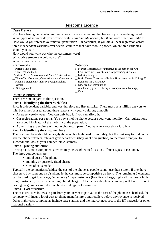## **Telecoms Licence**

#### <span id="page-3-0"></span>Case Details

You have been given a telecommunications licence in a market that has only just been deregulated. What types of services do you provide first? *I said mobile phones, but there were other possibilities.*  How would you forecast your market penetration? In particular, if you did a linear regression across three independent variables over several countries that have mobile phones, which three variables should you use?

How would you work out who the customers were?

What price structure would you use?

## What is the cost structure?

| Frameworks                                            | Category                                                       |
|-------------------------------------------------------|----------------------------------------------------------------|
| Porter's Five Forces                                  | x Market Research (How attractive is the market for $X$ ?)     |
| Three P's and the D                                   | $\cos$ / revenue (Cost structure of producing X / sales)       |
| (Product, Price, Promotions and Place / Distribution) | _ Industry Analysis                                            |
| _Three C's (Company, Competitors and Customers)       | _ Brain Teaser /Creative bullshit! (How many rats in Chicago?) |
| Financial statement / industry average analysis       | _ Business (SBU) Strategy                                      |
| Other:                                                | x New product introduction                                     |
| x Not applicable                                      | _ Academic (eg derive theory of comparative advantage)         |
|                                                       | Other                                                          |

## Possible Approach!

There are 4 main parts to this question.

## **Part 1 - identifying the three variables:**

Price is a dependant variable, and was therefore my first mistake. There must be a million answers to this, but mine focused around three reasons why you would buy a mobile;

- Average weekly wage. You can only buy it if you can afford it.
- Car registrations per capita. You buy a mobile phone because you want mobility. Car registrations are a good indicator of the mobility of the population.
- Advertising expenditure of mobile phone company. You have to know about it to buy it.

## **Part 2 - identifying the customer base**

The customer base should be largely those with a high need for mobility, but the best way to find out is ask the phone retailers, relevant govt department (they want deregulation, so therefore want you to succeed) and look at your competitors customers.

## **Part 3 - pricing structure**

Pricing has 3 main components, which may be weighted to focus on different types of customer. The three components are:

- initial cost of the phone
- monthly or quarterly fixed charge
- Cost of calls made

Typically the companies subsidise the cost of the phone as people cannot use their system if they have chosen to buy someone else's phone ie the cost must be competitive up front. The remaining 2 elements can be used to get low usage, "emergency " type customers (low fixed charge, high call charge) or high usage customer (low call charge, high fixed charge). Often a mobile phone company will have different pricing programmes suited to catch different types of customers.

#### **Part 4 - Cost structure**

The cost structure follows in part from your answer to part 3. If the cost of the phone is subsidised, the company will incur a lot of cost to phone manufacturers and retailers before any revenue is received. Other major cost components include base stations and the interconnect cost to the BT network (or other national carrier).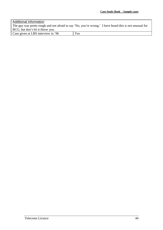## Additional information The guy was pretty tough and not afraid to say 'No, you're wrong.' I have heard this is not unusual for BCG, but don't let it throw you. Case given at LBS interview in '96 Yes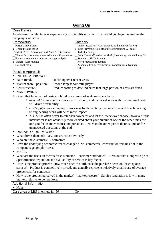## **Going Up**

#### <span id="page-5-0"></span>Case Details

An elevator manufacturer is experiencing profitability erosion. How would you begin to analyse the company's situation.

| <b>Frameworks</b>                                     | Category                                                      |
|-------------------------------------------------------|---------------------------------------------------------------|
| Porter's Five Forces                                  | $M$ arket Research (How big/good is the market for X?)        |
| $x$ Three P's and the D                               | x Cost / revenue (Cost structure of producing $X$ / sales)    |
| (Product, Price, Promotions and Place / Distribution) | _ Industry Analysis                                           |
| $\Box$ Three C's (Company, Competitors and Customers) | _Brain Teaser /Creative bullshit! (How many rats in Chicago?) |
| _Financial statement / industry average analysis      | _ Business (SBU) Strategy                                     |
| x Other: Cost revenue                                 | New product introduction                                      |
| Not applicable                                        | _Academic (eg derive theory of comparative advantage)         |
|                                                       | Other:                                                        |

## Possible Approach

- INITIAL APPROACH
- Sales trend? Declining over recent years
- Market share / position? Second largest domestic player
- Cost structure? Product costing to date indicates that large portion of costs are fixed
- NARROWING
- Given that large part of costs are fixed, economies of scale may be a factor.
	- *demand /revenue side* costs are truly fixed, and increased sales with low marginal costs will drive profitability
	- *cost/supply-side* company's process is fundamentally uncompetitive and benchmarking / re-engineering work will be of more impact
	- *NOTE* it is often better to establish two paths and let the interviewer choose; however if the interviewer is not obviously more excited about your pursuit of one or the other, pick the one you feel is more robust and pursue it. Return to the other path if there is time or for unanswered questions at the end.
- DEMAND SIDE MACRO
- What drives demand? New construction obviously
- Who are the customers? Contractors
- Have the underlying economic trends changed? No, commercial construction remains flat in the company's geographic areas
- MICRO
- What are the decision factors for customers? [customer interviews] Turns out that along with price / performance, reputation and availability of service is key factor.
- How is the product priced? How much does this influence the purchase decision [price quotes, surveys]. Product is competitively priced, and actually represents relatively small share of average project cost for contractor.
- How is the product perceived in the market? [market research] Service reputation is low in many markets relative to competitors.

#### Additional Information

• None

Case given at LBS interview in '96 No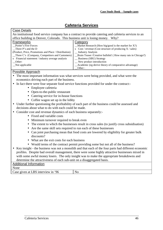## **Cafeteria Services**

<span id="page-6-0"></span>

|                                                                                                                                                                                                                                                              | 100001100001110000                                                                                                                                                                                                                                                                                                                                            |  |
|--------------------------------------------------------------------------------------------------------------------------------------------------------------------------------------------------------------------------------------------------------------|---------------------------------------------------------------------------------------------------------------------------------------------------------------------------------------------------------------------------------------------------------------------------------------------------------------------------------------------------------------|--|
| <b>Case Details</b>                                                                                                                                                                                                                                          |                                                                                                                                                                                                                                                                                                                                                               |  |
|                                                                                                                                                                                                                                                              | An institutional food service company has a contract to provide catering and cafeteria services to an                                                                                                                                                                                                                                                         |  |
| office building in Denver, Colorado. This business unit is losing money. Why?                                                                                                                                                                                |                                                                                                                                                                                                                                                                                                                                                               |  |
| <b>Frameworks</b><br>Porter's Five Forces<br>Three P's and the D<br>(Product, Price, Promotions and Place / Distribution)<br>Three C's (Company, Competitors and Customers)<br>x Financial statement / industry average analysis<br>Other:<br>Not applicable | Category<br>Market Research (How big/good is the market for $X$ ?)<br>x $Cost / revenue$ (Cost structure of producing $X / sales$ )<br><b>Industry Analysis</b><br>Brain Teaser / Creative bullshit! (How many rats in Chicago?)<br>_ Business (SBU) Strategy<br>_ New product introduction<br>Academic (eg derive theory of comparative advantage)<br>Other: |  |
| <b>Possible Approach</b>                                                                                                                                                                                                                                     |                                                                                                                                                                                                                                                                                                                                                               |  |
| The most important information was what services were being provided, and what were the<br>economics driving each part of the business.                                                                                                                      |                                                                                                                                                                                                                                                                                                                                                               |  |
| $\bullet$                                                                                                                                                                                                                                                    | In fact there were four separate food service functions provided for under the contract:-                                                                                                                                                                                                                                                                     |  |
| • Employee cafeteria                                                                                                                                                                                                                                         |                                                                                                                                                                                                                                                                                                                                                               |  |
| • Open-to-the-public restaurant                                                                                                                                                                                                                              |                                                                                                                                                                                                                                                                                                                                                               |  |
| • Catering service for in-house functions                                                                                                                                                                                                                    |                                                                                                                                                                                                                                                                                                                                                               |  |
| • Coffee wagon set up in the lobby                                                                                                                                                                                                                           |                                                                                                                                                                                                                                                                                                                                                               |  |
| Under further questioning the profitability of each part of the business could be assessed and<br>decisions about what to do with each could be made.                                                                                                        |                                                                                                                                                                                                                                                                                                                                                               |  |
| Consider cost and revenue dynamics of each business separately:-                                                                                                                                                                                             |                                                                                                                                                                                                                                                                                                                                                               |  |
| • Fixed and variable costs                                                                                                                                                                                                                                   |                                                                                                                                                                                                                                                                                                                                                               |  |
| Minimum turnover required to break even                                                                                                                                                                                                                      |                                                                                                                                                                                                                                                                                                                                                               |  |
| The extent to which the businesses result in cross sales (to justify cross subsidisation)                                                                                                                                                                    |                                                                                                                                                                                                                                                                                                                                                               |  |
| Are the same skill sets required to run each of these businesses<br>Can joint purchasing mean that food costs are lowered by eligibility for greater bulk<br>discounts?                                                                                      |                                                                                                                                                                                                                                                                                                                                                               |  |
| What are the exit costs for each business                                                                                                                                                                                                                    |                                                                                                                                                                                                                                                                                                                                                               |  |
| • Would terms of the contract permit providing some but not all of the business?                                                                                                                                                                             |                                                                                                                                                                                                                                                                                                                                                               |  |
| Key insight - the business was not a monolith and that each of the four parts had different economic                                                                                                                                                         |                                                                                                                                                                                                                                                                                                                                                               |  |
| profiles. Despite bad overall management, there were some highly attractive businesses mixed in                                                                                                                                                              |                                                                                                                                                                                                                                                                                                                                                               |  |
| with some awful money losers. The only insight was to make the appropriate breakdowns and                                                                                                                                                                    |                                                                                                                                                                                                                                                                                                                                                               |  |
| determine the attractiveness of each sub-unit on a disaggregated basis.                                                                                                                                                                                      |                                                                                                                                                                                                                                                                                                                                                               |  |
| <b>Additional Information</b>                                                                                                                                                                                                                                |                                                                                                                                                                                                                                                                                                                                                               |  |
| None                                                                                                                                                                                                                                                         |                                                                                                                                                                                                                                                                                                                                                               |  |
| Case given at LBS interview in '96                                                                                                                                                                                                                           | N <sub>0</sub>                                                                                                                                                                                                                                                                                                                                                |  |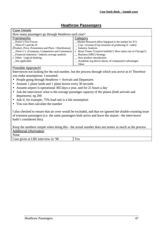## **Heathrow Passengers**

<span id="page-7-0"></span>

| <b>Case Details</b>                                   |                                                                 |
|-------------------------------------------------------|-----------------------------------------------------------------|
| How many passengers go through Heathrow each year?    |                                                                 |
| <b>Frameworks</b>                                     | Category                                                        |
| Porter's Five Forces                                  | $M$ arket Research (How big/good is the market for X?)          |
| Three P's and the D                                   | $\cos$ / revenue (Cost structure of producing X / sales)        |
| (Product, Price, Promotions and Place / Distribution) | _ Industry Analysis                                             |
| _Three C's (Company, Competitors and Customers)       | x Brain Teaser / Creative bullshit! (How many rats in Chicago?) |
| Financial statement / industry average analysis       | _ Business (SBU) Strategy                                       |
| x Other: Logical thinking                             | $\mathbf{v}$ New product introduction                           |
| Not applicable                                        | _ Academic (eg derive theory of comparative advantage)          |
|                                                       | Other                                                           |

#### Possible Approach!

Interviewer not looking for the real number, but the process through which you arrive at it! Therefore you make assumptions. I assumed:

- People going through Heathrow  $=$  Arrivals and Departures
- Assume 1 plane lands and 1 plane leaves every 30 seconds
- Assume airport is operational 365 days a year, and for 21 hours a day
- Ask the interviewer what is the average passenger capacity of the planes (both arrivals and departures). eg 200
- Ask if, for example, 75% load rate is a fair assumption
- You can then calculate the number

I also checked to ensure that air crew would be excluded, and that we ignored the double-counting issue of transient passengers (i.e. the same passengers both arrive and leave the airport - the interviewer hadn't considered this).

Keep the numbers simple when doing this - the actual number does not matter as much as the process Additional information

None

Case given at LBS interview in '96 Yes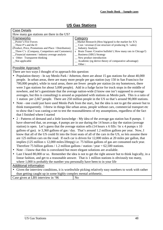## **US Gas Stations**

<span id="page-8-0"></span>

| <b>Case Details</b>                                   |                                                                 |
|-------------------------------------------------------|-----------------------------------------------------------------|
| How many gas stations are there in the US?            |                                                                 |
| <b>Frameworks</b>                                     | Category                                                        |
| Porter's Five Forces                                  | $M$ arket Research (How big/good is the market for X?)          |
| $\Box$ Three P's and the D                            | $\cos$ / revenue (Cost structure of producing X / sales)        |
| (Product, Price, Promotions and Place / Distribution) | _ Industry Analysis                                             |
| $\Box$ Three C's (Company, Competitors and Customers) | x Brain Teaser / Creative bullshit! (How many rats in Chicago?) |
| Financial statement / industry average analysis       | _ Business (SBU) Strategy                                       |
| x Other: Transparent thinking                         | $\mathcal{L}$ New product introduction                          |
| Not applicable                                        | _ Academic (eg derive theory of comparative advantage)          |
|                                                       | Other:                                                          |

## Possible Approach

There are two ways I thought of to approach this question:

- Population theory In say Menlo Park / Atherton, there are about 15 gas stations for about 40,000 people. In urban areas, there are many more people per gas station (say 150 in San Francisco for 700,000 people), while in rural areas, there are fewer people per station (in my hometown, there were 3 gas stations for about 5,000 people). Add in a fudge factor for truck stops in the middle of nowhere, and let's guestimate that the average nation-wide (I know one isn't supposed to average averages, but this is consulting) is around as populated with stations as Menlo park. This is a ratio of 1 station per 2,667 people. There are 250 million people in the US so that's around 90,000 stations.
- Note one could just have used Menlo Park from the start,, but the idea is not to get the answer but to think transparently. I threw in things like urban areas, people without cars, commercial transport etc to show that I was casting a net to test the reasonableness of my assumptions, regardless of the fact that I finished where I started
- 2 Patterns of demand and a little knowledge My idea of the average gas station has 8 pumps. I have observed that, on average, 4 pumps are in use during the 14 hours a day the station (average station) is open. Let's guess that the average station sells (14 hours x 6 fills /  $\ln x$  4 pumps x 10 gallons of gas). ie 3,360 gallons of gas / day. That's around 1.2 million gallons per year. Now, I know that all of the US could fit into the front seats of all of the cars in the US, so lets assume there are 125 million cars on the road. If each car is driven for 12,000 miles at 20 miles per gallon, that implies (125 million x 12,000 miles/20mpg) i.e. 75 billion gallons of gas are consumed each year. Therefore 75 billion gallons / 1.2 million gallons / station / year =  $62,500$  stations.
- Note I know that this is convoluted but more elegant solutions are available.
- Last I heard 80,000 or so. Remember the idea is not to get the right answer but to think logically, in a linear fashion, and get to a reasonable answer. That is 1 million stations is obviously too many, where 1,000 is probably the number you personally have been to in your life

#### Additional information

• Given the interview conditions, it is worthwhile picking relatively easy numbers to work with rather than getting caught up in some highly complex mental arithmetic.

Case given at LBS interview in '96 No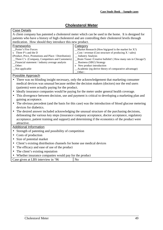## **Cholesterol Meter**

<span id="page-9-0"></span>

| <b>Case Details</b>                                                                                 |                                                                                                      |  |
|-----------------------------------------------------------------------------------------------------|------------------------------------------------------------------------------------------------------|--|
| A client company has patented a cholesterol meter which can be used in the home. It is designed for |                                                                                                      |  |
|                                                                                                     | patients who have a history of high cholesterol and are controlling their cholesterol levels through |  |
| medication. How should they introduce this new product.                                             |                                                                                                      |  |
| Frameworks                                                                                          | Category                                                                                             |  |
| Porter's Five Forces                                                                                | Market Research (How big/good is the market for $X$ ?)                                               |  |
| x Three P's and the D                                                                               | $\text{Cost}/\text{ revenue}$ (Cost structure of producing X / sales)                                |  |
| (Product, Price, Promotions and Place / Distribution)                                               | <b>Industry Analysis</b>                                                                             |  |
| Three C's (Company, Competitors and Customers)                                                      | Brain Teaser / Creative bullshit! (How many rats in Chicago?)                                        |  |
| Financial statement / industry average analysis                                                     | <b>Business (SBU) Strategy</b>                                                                       |  |
| Other:<br>Not applicable                                                                            | x New product introduction<br>Academic (eg derive theory of comparative advantage)                   |  |
|                                                                                                     | Other:                                                                                               |  |
| <b>Possible Approach</b>                                                                            |                                                                                                      |  |
|                                                                                                     | There was no blinding insight necessary, only the acknowledgement that marketing consumer            |  |
|                                                                                                     | medical devices was unusual because neither the decision makers (doctors) nor the end users          |  |
| (patients) were actually paying for the product.                                                    |                                                                                                      |  |
|                                                                                                     |                                                                                                      |  |
| Ideally insurance companies would be paying for the meter under general health coverage.            |                                                                                                      |  |
| This divergence between decision, use and payment is critical to developing a marketing plan and    |                                                                                                      |  |
| gaining acceptance.                                                                                 |                                                                                                      |  |
| The obvious precedent (and the basis for this case) was the introduction of blood glucose metering  |                                                                                                      |  |
| devices for diabetics.                                                                              |                                                                                                      |  |
| The desired answer included acknowledging the unusual structure of the purchasing decisions,        |                                                                                                      |  |
| delineating the various key steps (insurance company acceptance, doctor acceptance, regulatory      |                                                                                                      |  |
| acceptance, patient training and support) and determining if the economics of the product were      |                                                                                                      |  |
| attractive.                                                                                         |                                                                                                      |  |
| <b>Additional Information</b>                                                                       |                                                                                                      |  |
| Strength of patenting and possibility of competition                                                |                                                                                                      |  |
| Costs of production                                                                                 |                                                                                                      |  |
| Size of potential market                                                                            |                                                                                                      |  |
| Client's existing distribution channels for home use medical devices                                |                                                                                                      |  |
| The efficacy and ease of use of the product                                                         |                                                                                                      |  |
| The client's existing reputation                                                                    |                                                                                                      |  |
| Whether insurance companies would pay for the product                                               |                                                                                                      |  |
|                                                                                                     |                                                                                                      |  |
| Case given at LBS interview in '96                                                                  | N <sub>0</sub>                                                                                       |  |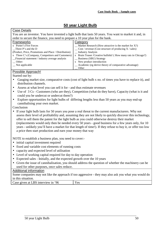## **50 year Light Bulb**

<span id="page-10-0"></span>

| <b>Case Details</b>                                                                                                                                                                                              |                                                                                                        |  |
|------------------------------------------------------------------------------------------------------------------------------------------------------------------------------------------------------------------|--------------------------------------------------------------------------------------------------------|--|
|                                                                                                                                                                                                                  | You are an inventor. You have invented a light bulb that lasts 50 years. You want to market it and, in |  |
| order to secure the finance, you need to prepare a 10 year plan for the bank.                                                                                                                                    |                                                                                                        |  |
| Frameworks                                                                                                                                                                                                       | Category                                                                                               |  |
| x Porter's Five Forces                                                                                                                                                                                           | $\text{Market Research}$ (How attractive is the market for X?)                                         |  |
| Three P's and the D                                                                                                                                                                                              | Cost / revenue (Cost structure of producing X / sales)                                                 |  |
| (Product, Price, Promotions and Place / Distribution)                                                                                                                                                            | <b>Industry Analysis</b>                                                                               |  |
| x Three C's (Company, Competitors and Customers)                                                                                                                                                                 | x Brain Teaser /Creative bullshit! (How many rats in Chicago?)                                         |  |
| Financial statement / industry average analysis                                                                                                                                                                  | <b>Business (SBU) Strategy</b>                                                                         |  |
| Other:<br>Not applicable                                                                                                                                                                                         | x New product introduction<br>Academic (eg derive theory of comparative advantage)                     |  |
|                                                                                                                                                                                                                  | Other                                                                                                  |  |
| Possible Approach!                                                                                                                                                                                               |                                                                                                        |  |
| Started out by:                                                                                                                                                                                                  |                                                                                                        |  |
|                                                                                                                                                                                                                  | Gauging market size, comparative costs (cost of light bulb x no. of times you have to replace it), and |  |
| distribution channels.                                                                                                                                                                                           |                                                                                                        |  |
| Assess at what level you can sell it for - and thus estimate revenues<br>$\bullet$                                                                                                                               |                                                                                                        |  |
| ٠                                                                                                                                                                                                                | Use of 3 Cs - Customers (who are they), Competition (what do they have), Capacity (what is it and      |  |
| could you be undercut or undercut them?)                                                                                                                                                                         |                                                                                                        |  |
| $\bullet$                                                                                                                                                                                                        |                                                                                                        |  |
| Explore opportunities for light bulbs of differing lengths less than 50 years as you may end-up<br>cannibalising your own market.                                                                                |                                                                                                        |  |
| Conclusion                                                                                                                                                                                                       |                                                                                                        |  |
| $\bullet$                                                                                                                                                                                                        |                                                                                                        |  |
| If your light bulb lasts for 50 years you pose a real threat to the current manufacturers. Why not<br>assess their level of profitability and, assuming they are not likely to quickly discover this technology, |                                                                                                        |  |
| offer to sell them the patent for the light bulb as you could otherwise destroy their market                                                                                                                     |                                                                                                        |  |
| (replacements would only then be needed every 50 years - good business for a few years only, for 10                                                                                                              |                                                                                                        |  |
| years - unlikely you'll have a market for that length of time!). If they refuse to buy it, or offer too low                                                                                                      |                                                                                                        |  |
| a price then start production and earn your money that way                                                                                                                                                       |                                                                                                        |  |
|                                                                                                                                                                                                                  |                                                                                                        |  |
| NOTE to establish a business plan, you need to cover:-                                                                                                                                                           |                                                                                                        |  |
|                                                                                                                                                                                                                  |                                                                                                        |  |
| initial capital investment required<br>$\bullet$                                                                                                                                                                 |                                                                                                        |  |
| fixed and variable cost elements of running costs<br>$\bullet$                                                                                                                                                   |                                                                                                        |  |
| capacity and expected level of utilisation                                                                                                                                                                       |                                                                                                        |  |
| Level of working capital required for day to day operation                                                                                                                                                       |                                                                                                        |  |
| Expected sales - Initially, and the expected growth over the 10 years                                                                                                                                            |                                                                                                        |  |
| Given the issue of cannibalisation, you should address the question of whether the machinery can be                                                                                                              |                                                                                                        |  |
| used for other purposes, once sales reduce.                                                                                                                                                                      |                                                                                                        |  |
| <b>Additional information</b>                                                                                                                                                                                    |                                                                                                        |  |
| Some companies may not like the approach if too aggressive - they may also ask you what you would do                                                                                                             |                                                                                                        |  |
| in this situation.                                                                                                                                                                                               |                                                                                                        |  |
| Case given at LBS interview in '96                                                                                                                                                                               | Yes                                                                                                    |  |
|                                                                                                                                                                                                                  |                                                                                                        |  |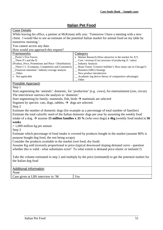## **Italian Pet Food**

<span id="page-11-0"></span>

|                                                                                                                 | v. . vvu                                                                                                 |  |
|-----------------------------------------------------------------------------------------------------------------|----------------------------------------------------------------------------------------------------------|--|
| <b>Case Details</b>                                                                                             |                                                                                                          |  |
|                                                                                                                 | While leaving his office, a partner at McKinsey tells you: 'Tomorrow I have a meeting with a new         |  |
|                                                                                                                 | client. I would like to see an estimate of the potential Italian market for animal food on my table by   |  |
| tomorrow morning.'.                                                                                             |                                                                                                          |  |
| You cannot access any data.                                                                                     |                                                                                                          |  |
| How would you approach this request?                                                                            |                                                                                                          |  |
| Frameworks                                                                                                      | Category                                                                                                 |  |
| Porter's Five Forces                                                                                            | x Market Research (How attractive is the market for $X$ ?)                                               |  |
| Three P's and the D                                                                                             | Cost / revenue (Cost structure of producing X / sales)                                                   |  |
| (Product, Price, Promotions and Place / Distribution)                                                           | _ Industry Analysis                                                                                      |  |
| _Three C's (Company, Competitors and Customers)                                                                 | _ Brain Teaser / Creative bullshit! (How many rats in Chicago?)                                          |  |
| Financial statement / industry average analysis<br>$\overline{\phantom{a}}$ Other:                              | _ Business (SBU) Strategy<br>New product introduction                                                    |  |
| x Not applicable                                                                                                | Academic (eg derive theory of comparative advantage)                                                     |  |
|                                                                                                                 | Other                                                                                                    |  |
| <b>Possible Approach</b>                                                                                        |                                                                                                          |  |
| Step 1                                                                                                          |                                                                                                          |  |
|                                                                                                                 | Start segmenting the 'animals': domestic, for 'production' (e.g. .cows), for entertainment (zoo, circus) |  |
| The interviewer narrows the analysis to 'domestic'                                                              |                                                                                                          |  |
| Start segmenting by family: mammals, fish, birds $\rightarrow$ mammals are selected                             |                                                                                                          |  |
|                                                                                                                 |                                                                                                          |  |
| Segment by species: cats, dogs, rabbits, $\rightarrow$ dogs are selected.                                       |                                                                                                          |  |
| Step 2                                                                                                          |                                                                                                          |  |
|                                                                                                                 | Estimate the number of domestic dogs (for example as a percentage of total number of families)           |  |
| Estimate the total calorific need of the Italian domestic dogs per year by assuming the weekly food             |                                                                                                          |  |
| intake of a dog. $\rightarrow$ assume 15 million families x 33 % (who own dogs) x 4kg (weekly food intake) x 50 |                                                                                                          |  |
| weeks                                                                                                           |                                                                                                          |  |
| $= 1,000$ million kg per annum                                                                                  |                                                                                                          |  |
| Step 3                                                                                                          |                                                                                                          |  |
| Estimate which percentage of food intake is covered by products bought in the market (assume 80% is             |                                                                                                          |  |
| purpose bought dog food, the rest being scraps)                                                                 |                                                                                                          |  |
| Consider the products available in the market (wet food, dry food)                                              |                                                                                                          |  |
|                                                                                                                 | Assume Kg sold inversely proportional to price (typical downward sloping demand curve - question         |  |
|                                                                                                                 |                                                                                                          |  |
| whether this is valid - what substitutes exist? To what extent is demand price elastic or inelastic?)           |                                                                                                          |  |
| Take the volume estimated in step 2 and multiply by the price (estimated) to get the potential market for       |                                                                                                          |  |
| the Italian dog food                                                                                            |                                                                                                          |  |
|                                                                                                                 |                                                                                                          |  |
|                                                                                                                 |                                                                                                          |  |
| <b>Additional information</b>                                                                                   |                                                                                                          |  |
| None                                                                                                            |                                                                                                          |  |
| Case given at LBS interview in '96                                                                              | Yes                                                                                                      |  |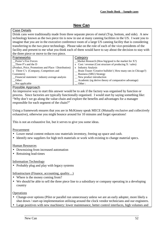## **New Can**

#### <span id="page-12-0"></span>Case Details

Drink cans were traditionally made from three separate pieces of metal (Top, bottom, and side). A new technology known as the two piece tin is now in use at many canning facilities in the US. I want you to imagine that you are in the executive conference room of a large US canning facility that is considering transferring to the two piece technology. Please take on the role of each of the vice-presidents of the facility and present to me what you think each of them would have to say about the decision to stay with the three piece or move to the two piece.

| Frameworks                                            | Category                                                       |
|-------------------------------------------------------|----------------------------------------------------------------|
| Porter's Five Forces                                  | $M$ arket Research (How big/good is the market for X?)         |
| Three P's and the D                                   | x Cost / revenue (Cost structure of producing $X$ / sales)     |
| (Product, Price, Promotions and Place / Distribution) | x Industry Analysis                                            |
| x Three C's (Company, Competitors and                 | _ Brain Teaser /Creative bullshit! (How many rats in Chicago?) |
| Customers)                                            | _ Business (SBU) Strategy                                      |
| Financial statement / industry average analysis       | $\mathcal{L}$ New product introduction                         |
| Other:                                                | _ Academic (eg derive theory of comparative advantage)         |
| Not applicable                                        | Other:                                                         |
|                                                       |                                                                |

#### Possible Approach

An impressive way to start this answer would be to ask if the factory was organised by function or process. Since factories are typically functionally organised. I would start by saying something like: "Why don't we go along the value-chain and explore the benefits and advantages for a manager responsible for each segment of the chain?"

Using a framework ensures that you are in McKinsey speak MECE (Mutually exclusive and collectively exhaustive), otherwise you might bounce around for 10 minutes and forget operations!

This is not an exhaustive list, but it serves to give you some ideas.

#### **Procurement**

- Lower metal content reduces raw materials inventory, freeing up space and cash.
- Identify new suppliers for high tech materials or work with existing to change material specs.

#### Human Resources

- Downsizing from increased automation
- Retraining lead-times

#### Information Technology

• Probably plug and play with legacy systems

#### Infrastructure (Finance, accounting, quality…)

- Where is the money coming from?
- We should be able to sell the three piece line to a subsidiary or company operating in a developing country

#### **Operations**

- Change-over options (Pilot or parallel run unnecessary unless we are an early adopter, more likely a shut down / start-up implementation utilising around the clock vendor technicians and our engineers.
- Large positives with new machinery: lower maintenance, better control interfaces, high volumes and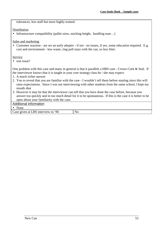tolerances, less staff but more highly trained.

#### Distribution

• Infrastructure compatibility (pallet sizes, stacking height, handling ease...)

Sales and marketing

• Customer reaction - are we an early adopter - if not - no issues, if yes, some education required. E.g. cost and environment - less waste, ring pull stays with the can, so less litter.

**Service** 

• non issue?

One problem with this case and many in general is that it parallels a HBS case - Crown Cork & Seal. If the interviewer knows that it is taught in your core strategy class he / she may expect:

- 1. A much richer answer
- 2. You to reveal that you are familiar with the case I wouldn't tell them before starting since this will raise expectations. Since I was not interviewing with other students from the same school, I kept my mouth shut
- 3. However it may be that the interviewer can tell that you have done the case before, because you answer too quickly and in too much detail for it to be spontaneous. If this is the case it is better to be open about your familiarity with the case.

Additional information

• None

Case given at LBS interview in '96 No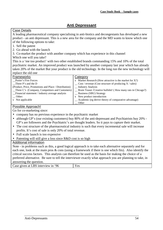## **Anti Depressant**

### <span id="page-14-0"></span>Case Details

A leading pharmaceutical company specialising in anti-biotics and decongestants has developed a new product - an anti depressant. This is a new area for the company and the MD wants to know which one of the following options to take:

- 1. Sell the patent
- 2. Go ahead with the launch
- 3. Co-market the product with another company which has experience in this channel

## Which one will you take?

This is a 'me too product' with two other established brands commanding 15% and 10% of the total psychiatric market. An improved product was launched by another company last year which has already taken 20% of the market But your product is the old technology. In the long run the new technology will replace the old one

| Frameworks                                            | Category                                                         |
|-------------------------------------------------------|------------------------------------------------------------------|
| Porter's Five Forces                                  | x Market Research (How attractive is the market for $X$ ?)       |
| Three P's and the D                                   | $\text{Cost}/$ revenue (Cost structure of producing X / sales)   |
| (Product, Price, Promotions and Place / Distribution) | _ Industry Analysis                                              |
| _Three C's (Company, Competitors and Customers)       | __ Brain Teaser / Creative bullshit! (How many rats in Chicago?) |
| Financial statement / industry average analysis       | _ Business (SBU) Strategy                                        |
| Other:                                                | x New product introduction                                       |
| x Not applicable                                      | _ Academic (eg derive theory of comparative advantage)           |
|                                                       | Other                                                            |

## Possible Approach!

Go for co-marketing since:

- company has no previous experience in the psychiatric market
- although GP's (our existing customers) buy 80% of the anti-depressant and Psychiatrists buy 20% -GP's are followers and the Psychiatric's are thought leaders. So it pays to capture their market.
- The cost structure of the pharmaceutical industry is such that every incremental sale will increase profits. It's cost of sale is only 20% of total revenue.
- Full scale launch is too expensive
- Patenting will still give a loss since R&D cost is so high

## Additional information

Note - in problems such as this, a good logical approach is to take each alternative separately and for each one, look at the main pros  $\&$  cons (using a framework if there is one which fits). Also identify the critical success factors. This analysis can therefore be used as the basis for making the choice of a preferred alternative. Be sure to tell the interviewer exactly what approach you are planning to take, in answering the question.

| $\mathsf{\_B} \mathsf{S}^{\scriptscriptstyle\top}$<br>$96^{\circ}$<br>given at I<br>Case<br>1n<br>interview<br>$\mathbf{v} \, \mathbf{a} \, \mathbf{c}$<br>ັບ<br>______ |
|-------------------------------------------------------------------------------------------------------------------------------------------------------------------------|
|-------------------------------------------------------------------------------------------------------------------------------------------------------------------------|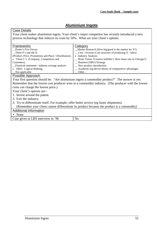## **Aluminium Ingots**

<span id="page-15-0"></span>

| <b>Case Details</b>                                                                              |                                                                                                    |  |  |
|--------------------------------------------------------------------------------------------------|----------------------------------------------------------------------------------------------------|--|--|
| Your client makes aluminium ingots. Your client's major competitor has recently introduced a new |                                                                                                    |  |  |
|                                                                                                  |                                                                                                    |  |  |
| process technology that reduces its costs by 50%. What are your client's options                 |                                                                                                    |  |  |
|                                                                                                  |                                                                                                    |  |  |
| Frameworks                                                                                       | <b>Category</b>                                                                                    |  |  |
| Porter's Five Forces                                                                             | $M$ arket Research (How big/good is the market for X?)                                             |  |  |
| Three P's and the D                                                                              | $\_\_$ Cost / revenue (Cost structure of producing X / sales)                                      |  |  |
| (Product, Price, Promotions and Place / Distribution)                                            | x Industry Analysis                                                                                |  |  |
| x Three C's (Company, Competitors and                                                            | _ Brain Teaser / Creative bullshit! (How many rats in Chicago?)                                    |  |  |
| Customers)                                                                                       | <b>Business (SBU) Strategy</b>                                                                     |  |  |
| Financial statement / industry average analysis                                                  | _New product introduction                                                                          |  |  |
| x Other: Logical thinking                                                                        | _ Academic (eg derive theory of comparative advantage)                                             |  |  |
| Not applicable<br>Other:                                                                         |                                                                                                    |  |  |
| Possible Approach                                                                                |                                                                                                    |  |  |
| Your first question should be: "Are aluminium ingots a commodity product?" The answer is yes.    |                                                                                                    |  |  |
|                                                                                                  | Remember that the lowest cost producer wins in a commodity industry. (The producer with the lowest |  |  |
| costs can charge the lowest price.)                                                              |                                                                                                    |  |  |
| Your client's options are:-                                                                      |                                                                                                    |  |  |
| 1. Invent around the patent.                                                                     |                                                                                                    |  |  |
| 2. Exit the industry.                                                                            |                                                                                                    |  |  |
| 3. Try to differentiate itself. For example, offer better service (eg faster shipments).         |                                                                                                    |  |  |
| (Remember your client cannot differentiate its product because the product is a commodity)       |                                                                                                    |  |  |
| Additional information                                                                           |                                                                                                    |  |  |
| None                                                                                             |                                                                                                    |  |  |
| Case given at LBS interview in '96                                                               | N <sub>0</sub>                                                                                     |  |  |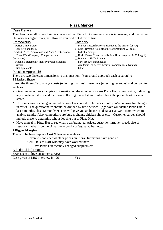## **Pizza Market**

<span id="page-16-0"></span>

| <b>Case Details</b>                                                                                                                                                                                                          |                                                                                                     |  |  |  |
|------------------------------------------------------------------------------------------------------------------------------------------------------------------------------------------------------------------------------|-----------------------------------------------------------------------------------------------------|--|--|--|
| The client, a small pizza chain, is concerned that Pizza Hut's market share is increasing, and that Pizza                                                                                                                    |                                                                                                     |  |  |  |
| Hut also has bigger margins. How do you find out if this is true.                                                                                                                                                            |                                                                                                     |  |  |  |
| Frameworks                                                                                                                                                                                                                   | Category                                                                                            |  |  |  |
| Porter's Five Forces                                                                                                                                                                                                         | Market Research (How attractive is the market for X?)                                               |  |  |  |
| $\Box$ Three P's and the D                                                                                                                                                                                                   | x Cost / revenue (Cost structure of producing $X$ / sales)                                          |  |  |  |
| (Product, Price, Promotions and Place / Distribution)                                                                                                                                                                        | <b>Industry Analysis</b>                                                                            |  |  |  |
| x Three C's (Company, Competitors and                                                                                                                                                                                        | Brain Teaser /Creative bullshit! (How many rats in Chicago?)                                        |  |  |  |
| Customers)                                                                                                                                                                                                                   | _ Business (SBU) Strategy                                                                           |  |  |  |
| _Financial statement / industry average analysis                                                                                                                                                                             | _New product introduction                                                                           |  |  |  |
| $\equiv$ Other:                                                                                                                                                                                                              | _ Academic (eg derive theory of comparative advantage)                                              |  |  |  |
| Not applicable                                                                                                                                                                                                               | Other                                                                                               |  |  |  |
| <b>Possible Approach!</b>                                                                                                                                                                                                    |                                                                                                     |  |  |  |
| There are two different dimensions to this question. You should approach each separately:-                                                                                                                                   |                                                                                                     |  |  |  |
| <b>1 Market Share</b>                                                                                                                                                                                                        |                                                                                                     |  |  |  |
| I used the three C's to analyse costs (effecting margins), customers (effecting revenues) and competitor                                                                                                                     |                                                                                                     |  |  |  |
| analysis.                                                                                                                                                                                                                    |                                                                                                     |  |  |  |
| Oven manufacturers can give information on the number of ovens Pizza Hut is purchasing, indicating<br>$\bullet$<br>any new/larger stores and therefore reflecting market share. Also check the phone book for new<br>stores. |                                                                                                     |  |  |  |
| $\bullet$                                                                                                                                                                                                                    | Customer surveys can give an indication of restaurant preferences, (note you're looking for changes |  |  |  |
|                                                                                                                                                                                                                              | in taste). The questionnaire should be divided by time periods. (eg: have you visited Pizza Hut in  |  |  |  |
|                                                                                                                                                                                                                              | last 6 months? last 12 months?) This will give you an historical database as well, from which to    |  |  |  |
|                                                                                                                                                                                                                              | analyse trends. Also, competitors are burger chains, chicken shops etc Customer survey should       |  |  |  |
| include these to determine who is loosing out to Pizza Hut.                                                                                                                                                                  |                                                                                                     |  |  |  |
|                                                                                                                                                                                                                              |                                                                                                     |  |  |  |
|                                                                                                                                                                                                                              | Have a meal in Pizza Hut to see what's different. eg: prices, customer turnover speed, size of      |  |  |  |
| restaurant, what's on the pizzas, new products (eg: salad bar) etc                                                                                                                                                           |                                                                                                     |  |  |  |
| <b>2 Bigger Margins</b>                                                                                                                                                                                                      |                                                                                                     |  |  |  |

This will be based upon a Cost & Revenue analysis

Revenue - consider whether prices on Pizza Hut menus have gone up

Cost - talk to staff who may have worked there

Have Pizza Hut recently changed suppliers etc

## Additional information

BAH seem to love customer surveys

|                                                              | <b>Draft</b> begin to fove cabioliter but very |  |
|--------------------------------------------------------------|------------------------------------------------|--|
| BS.<br>96<br>Case given at L<br>, interview<br>$\alpha$<br>ັ |                                                |  |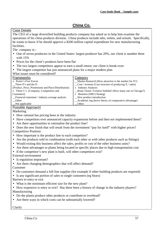## **China Co.**

<span id="page-17-0"></span>Case Details

The CEO of a large diversified building products company has asked us to help him examine the operations of his china products division. China products include tubs, toilets, and urinals. Specifically, he wants to know if he should approve a \$200 million capital expenditure for new manufacturing facilities.

The company is:-

- One of seven producers in the United States: largest producer has 20%, our client is number three with 15%
- Prices for the client's products have been flat
- The two largest competitors appear to earn a small return; our client is break even
- The largest competitor has just announced plans for a major modern plan

What issues must be considered?

| Frameworks                                          | Category                                                              |
|-----------------------------------------------------|-----------------------------------------------------------------------|
| x Porter's Five Forces                              | $M$ arket Research (How attractive is the market for X?)              |
| Three P's and the D                                 | $\text{Cost}/\text{ revenue}$ (Cost structure of producing X / sales) |
| (Product, Price, Promotions and Place/Distribution) | x Industry Analysis                                                   |
| x Three C's (Company, Competitors and               | _Brain Teaser /Creative bullshit! (How many rats in Chicago?)         |
| Customers)                                          | x Business (SBU) Strategy                                             |
| Financial statement / industry average analysis     | New product introduction                                              |
| Other:                                              | _Academic (eg derive theory of comparative advantage)                 |
| Not applicable                                      | Other:                                                                |
| <b>D</b> 9 T . A 1 T                                |                                                                       |

#### Possible Approach!

Marketing

- How rational has pricing been in the industry
- Have competitors ever announced capacity expansions before and then not implemented them?
- Are there opportunities to rationalise the product line?
- Does the new finish that will result from the investment "pay for itself" with higher prices? Competitive Position:
- How important is the product line to each competitor?
- Are the products sold in combination (with each other or with other products such as fittings)
- Would exiting this business affect the sales, profits or cost of the other business units?
- Are there advantages to plants being located in specific places due to high transportation cost
- If the competitor's new plant is built, will other competitors exit?

External environment

- Is regulation important?
- Are there changing demographics that will affect demand?
- Customer
- Do customers demand a full line supplier (for example if other building products are required)
- Is any significant portion of sales to single customers (eg Sears)

Barriers to entry or exit

- What is the minimum efficient size for the new plant?
- How expensive is entry or exit? Has there been a history of change in the industry players? Manufacturing
- Do the plants produce other products or contribute to overhead?
- Are there ways in which costs can be substantially lowered?

Clarify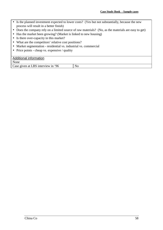- Is the planned investment expected to lower costs? (Yes but not substantially, because the new process will result in a better finish)
- Does the company rely on a limited source of raw materials? (No, as the materials are easy to get)
- Has the market been growing? (Market is linked to new housing)
- Is there over-capacity in this market?
- What are the competitors' relative cost positions?
- Market segmentation residential vs. industrial vs. commercial
- Price points cheap vs. expensive / quality

## Additional information

None

Case given at LBS interview in '96 No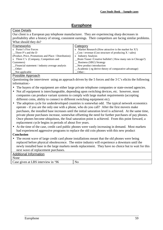## **Europhone**

## <span id="page-19-0"></span>Case Details

Our client is a European pay telephone manufacturer. They are experiencing sharp decreases in profitability after a history of strong, consistent earnings. Their competitors are facing similar problems. What should they do?

| <b>Frameworks</b>                                     | Category                                                              |
|-------------------------------------------------------|-----------------------------------------------------------------------|
| x Porter's Five Forces                                | x Market Research (How attractive is the market for $X$ ?)            |
| Three P's and the D                                   | $\text{Cost}/\text{ revenue}$ (Cost structure of producing X / sales) |
| (Product, Price, Promotions and Place / Distribution) | x Industry Analysis                                                   |
| x Three C's (Company, Competitors and                 | _Brain Teaser /Creative bullshit! (How many rats in Chicago?)         |
| Customers)                                            | _ Business (SBU) Strategy                                             |
| Financial statement / industry average analysis       | New product introduction                                              |
| Other:                                                | _Academic (eg derive theory of comparative advantage)                 |
| $\sqrt{\ }$ Not applicable                            | Other:                                                                |
|                                                       |                                                                       |

#### Possible Approach

Questioning the interviewer using an approach driven by the 5 forces and the 3 C's elicits the following information:-

- The buyers of the equipment are either large private telephone companies or state-owned agencies.
- Not all equipment is interchangeable, depending upon switching devices, etc. however, most companies can produce variant systems to comply with large market requirements (accepting different coins, ability to connect to different switching equipment etc).
- The adoption cycle for underdeveloped countries is somewhat odd. The typical network economics operate - if you are the only one with a phone, who do you call? After the first movers make purchases, the installed base increases until the initial saturation level is achieved. At the same time, private phone purchases increase, somewhat offsetting the need for further purchases of pay phones. Once phones become ubiquitous, the final saturation point is achieved. From this point forward, a replacement cycle begins in periods of about five years.
- At the time of the case, credit card public phones were vastly increasing in demand. Most markets had experienced aggressive programs to replace the old coin phones with this new product

## **Conclusion**

• The recent wave of large credit card phone installations meant that the old phones were being replaced before physical obsolescence. The entire industry will experience a downturn until the newly installed base in the large markets needs replacement. They have no choice but to wait for this next wave of replacement purchases.

## Additional Information None Case given at LBS interview in '96 No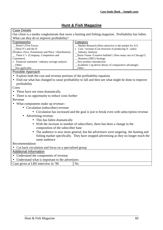## **Hunt & Fish Magazine**

<span id="page-20-0"></span>

|                                                                                                       | <b>HUIIT &amp; FISH Magazine</b>                                                                       |  |  |
|-------------------------------------------------------------------------------------------------------|--------------------------------------------------------------------------------------------------------|--|--|
| <b>Case Details</b>                                                                                   |                                                                                                        |  |  |
|                                                                                                       | Our client is a media conglomerate that owns a hunting and fishing magazine. Profitability has fallen. |  |  |
| What can they do to improve profitability?                                                            |                                                                                                        |  |  |
| Frameworks                                                                                            | <b>Category</b>                                                                                        |  |  |
| Porter's Five Forces                                                                                  | $M$ arket Research (How attractive is the market for X?)                                               |  |  |
| Three P's and the D                                                                                   | x Cost / revenue (Cost structure of producing $X$ / sales)                                             |  |  |
| (Product, Price, Promotions and Place / Distribution)                                                 | <b>Industry Analysis</b>                                                                               |  |  |
| _ Three C's (Company, Competitors and                                                                 | _Brain Teaser /Creative bullshit! (How many rats in Chicago?)                                          |  |  |
| Customers)<br>x Financial statement / industry average analysis                                       | _ Business (SBU) Strategy<br>New product introduction                                                  |  |  |
| Other:                                                                                                | Academic (eg derive theory of comparative advantage)                                                   |  |  |
| Not applicable<br>Other:                                                                              |                                                                                                        |  |  |
| Possible Approach                                                                                     |                                                                                                        |  |  |
| • Explore both the cost and revenue portions of the profitability equation.                           |                                                                                                        |  |  |
| • Find out what has changed to cause profitability to fall and then see what might be done to improve |                                                                                                        |  |  |
| profitability                                                                                         |                                                                                                        |  |  |
| Costs                                                                                                 |                                                                                                        |  |  |
| • These have not risen dramatically                                                                   |                                                                                                        |  |  |
| There is no opportunity to reduce costs further                                                       |                                                                                                        |  |  |
| Revenue                                                                                               |                                                                                                        |  |  |
| • What components make up revenue:-                                                                   |                                                                                                        |  |  |
| • Circulation (subscriber) revenue                                                                    |                                                                                                        |  |  |
|                                                                                                       |                                                                                                        |  |  |
| • Circulation has increased and the goal is just to break even with subscription revenue              |                                                                                                        |  |  |
| • Advertising revenue                                                                                 |                                                                                                        |  |  |
| • This has fallen dramatically                                                                        |                                                                                                        |  |  |
|                                                                                                       | • With the increase in number of subscribers, there has been a change in the                           |  |  |
| composition of the subscriber base                                                                    |                                                                                                        |  |  |
|                                                                                                       | The audience is now more general, but the advertisers were targeting the hunting and                   |  |  |
|                                                                                                       | fishing market specifically. They have stopped advertising as they no longer reach the                 |  |  |
| same audience                                                                                         |                                                                                                        |  |  |
| Recommendation                                                                                        |                                                                                                        |  |  |
| • Cut back circulation and focus on a specialised group                                               |                                                                                                        |  |  |
| <b>Additional Information</b>                                                                         |                                                                                                        |  |  |
| • Understand the components of revenue                                                                |                                                                                                        |  |  |
| • Understand what is important to the advertisers                                                     |                                                                                                        |  |  |
| Case given at LBS interview in '96                                                                    | N <sub>o</sub>                                                                                         |  |  |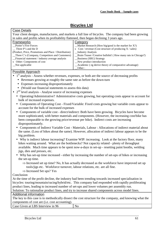## **Bicycles Ltd**

<span id="page-21-0"></span>

| <b>Case Details</b>                                                                                      |                                                                                                            |  |
|----------------------------------------------------------------------------------------------------------|------------------------------------------------------------------------------------------------------------|--|
| Your client designs, manufactures, and markets a full line of bicycles. The company had been growing     |                                                                                                            |  |
| in sales and profits when its profitability flattened, then began declining 3 years ago.                 |                                                                                                            |  |
| <b>Frameworks</b>                                                                                        | Category                                                                                                   |  |
| Porter's Five Forces                                                                                     | Market Research (How big/good is the market for X?)                                                        |  |
| Three P's and the D                                                                                      | x Cost / revenue (Cost structure of producing $X$ / sales)                                                 |  |
| (Product, Price, Promotions and Place / Distribution)                                                    | <b>Industry Analysis</b>                                                                                   |  |
| Three C's (Company, Competitors and Customers)                                                           | Brain Teaser / Creative bullshit! (How many rats in Chicago?)                                              |  |
| Financial statement / industry average analysis<br>x Other: Components of cost                           | Business (SBU) Strategy<br>New product introduction                                                        |  |
| Not applicable                                                                                           | Academic (eg derive theory of comparative advantage)                                                       |  |
|                                                                                                          | Other:                                                                                                     |  |
| Possible Approach                                                                                        |                                                                                                            |  |
|                                                                                                          | 1 <sup>st</sup> analysis - Assess whether revenues, expenses, or both are the source of decreasing profits |  |
| Revenues growing at roughly the same rate as before the down-turn                                        |                                                                                                            |  |
| Expenses increasing disproportionately                                                                   |                                                                                                            |  |
| (Would use financial statements to assess this data)                                                     |                                                                                                            |  |
| $2nd$ level analysis - Analyse source of increasing expenses                                             |                                                                                                            |  |
| Operating/Administrative? Administrative costs growing, but operating costs appear to account for        |                                                                                                            |  |
| bulk of increased expenses.                                                                              |                                                                                                            |  |
| $\bullet$                                                                                                | Components of Operating Cost - Fixed/Variable: Fixed costs growing but variable costs appear to            |  |
| account for the bulk of increased expenses                                                               |                                                                                                            |  |
| Components of variable cost - direct/indirect: Both have been growing. Bicycles have become<br>$\bullet$ |                                                                                                            |  |
| more sophisticated, with better materials and components. (However, the increasing cost/bike has         |                                                                                                            |  |
| been comparable to the growing price/revenue per bike). Indirect costs are increasing                    |                                                                                                            |  |
| disproportionately.                                                                                      |                                                                                                            |  |
|                                                                                                          | • Components of Indirect Variable Cost - Materials, Labour : Allocations of indirect material about        |  |
|                                                                                                          | the same. (Loss of bikes about the same). However, allocation of indirect labour appears to be the         |  |
| big problem.                                                                                             |                                                                                                            |  |
| • Why is indirect labour increasing? Examine WIP: increasing. Look at the factory floor, many            |                                                                                                            |  |
| bikes waiting around. What are the bottlenecks? Not capacity related - plenty of throughput              |                                                                                                            |  |
| available. Much time appears to be spent now-a-days in set-up - resetting paint booths, welding          |                                                                                                            |  |
| jigs, dies and presses, etc.                                                                             |                                                                                                            |  |
|                                                                                                          | Why has set-up time increased - either by increasing the number of set-ups of bikes or increasing          |  |
| the set-up time.                                                                                         |                                                                                                            |  |
|                                                                                                          | $\Rightarrow$ Increased set up time? No, It has actually decreased as the workforce have improved set up   |  |
| tools/jigs etc. Workforce turnover, labour relations, etc. are all fine.                                 |                                                                                                            |  |
| $\Rightarrow$ Increased Set ups? Yes                                                                     |                                                                                                            |  |
| Conclusion                                                                                               |                                                                                                            |  |
|                                                                                                          | At the time of the profit decline, the industry had been trending towards increased specialisation in      |  |
|                                                                                                          | bicycles: touring/mountain/racing/hybrid/etc. This company had responded with rapidly proliferating        |  |
| product lines, leading to increased number of set-ups and lower volumes per assembly run.                |                                                                                                            |  |
|                                                                                                          | Solution: To rationalise product lines, and try to increase shared components across model lines.          |  |
| Additional information                                                                                   |                                                                                                            |  |
|                                                                                                          | The key to this case is to methodically dissect the cost structure for the company, and knowing what the   |  |
|                                                                                                          |                                                                                                            |  |

components of cost are (i.e. cost accounting). Case Given at LBS Interview in 96 No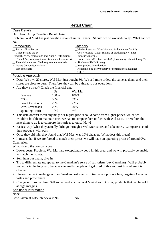## **Retail Chain**

#### <span id="page-22-0"></span>Case Details

Our client: A big Canadian Retail chain

Problem: Wal Mart has just bought a retail chain in Canada. Should we be worried? Why? What can we do?

| Frameworks                                               | Category                                                                  |
|----------------------------------------------------------|---------------------------------------------------------------------------|
| Porter's Five Forces                                     | $M$ arket Research (How big/good is the market for X?)                    |
| Three P's and the D                                      | $\text{\_}Cost / \text{ revenue}$ (Cost structure of producing X / sales) |
| (Product, Price, Promotions and Place / Distribution)    | _Industry Analysis                                                        |
| _ Three C's (Company, Competitors and Customers)         | _Brain Teaser /Creative bullshit! (How many rats in Chicago?)             |
| $\equiv$ Financial statement / industry average analysis | x Business (SBU) Strategy                                                 |
| x Other: Competitor analysis                             | New product introduction                                                  |
| $\equiv$ Not applicable                                  | Academic (eg derive theory of comparative advantage)                      |
|                                                          | Other:                                                                    |

#### Possible Approach

- Data: We own 20 stores, Wal Mart just bought 50. We sell more or less the same as them, and their stores are close to ours. Therefore, they can be a threat to our operations.
- Are they a threat? Check the financial data:

|                         | Us   | Wal Mart |
|-------------------------|------|----------|
| Revenue                 | 100% | 100%     |
| <b>COGS</b>             | 50%  | 53%      |
| <b>Store Operations</b> | 20%  | 22%      |
| Corp. Overheads         | 20%  | 20%      |
| <b>Operating Profit</b> | 10%  | 5%       |

• This data doesn't mean anything: our higher profits could come from higher prices, which we wouldn't be able to maintain once we had to compete face-to-face with Wal Mart. Therefore, the next thing to do is to compare their prices to ours. How?

- Easiest way (what they actually did): go through a Wal Mart store, and take notes. Compare a set of their products with ours.
- Once they did this, they found that Wal Mart was 10% cheaper. What does this mean?
- It means that if we are forced to match their prices, we will have an operating profit of around 0%. Conclusion

What should the company do?

- Lower costs. Problem: Wal Mart are exceptionally good in this area, and we will probably be unable to match their costs.
- Sell them our chain, give in.
- Try to differentiate us: appeal to the Canadian's sense of patriotism (buy Canadian). Will probably not work in the long run, because eventually people will get tired of this and just buy where it is cheaper.
- Use our better knowledge of the Canadian customer to optimise our product line, targeting Canadian tastes and preferences.
- Change our product line: Sell some products that Wal Mart does not offer, products that can be sold at high margins

| <b>Additional information</b>     |    |
|-----------------------------------|----|
| None                              |    |
| Case Given at LBS Interview in 96 | No |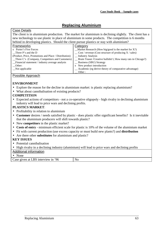## **Replacing Aluminium**

#### <span id="page-23-0"></span>Case Details

The client is in aluminium production. The market for aluminium is declining slightly. The client has a new technology to use plastic in place of aluminium in some products. The competition is 6 months behind in developing plastics. Should the client pursue plastics or stay with aluminium?

| <b>Frameworks</b><br>Category<br>x Porter's Five Forces<br>$M$ arket Research (How big/good is the market for X?)<br>$\cos t$ / revenue (Cost structure of producing X / sales)<br>Three P's and the D |  |
|--------------------------------------------------------------------------------------------------------------------------------------------------------------------------------------------------------|--|
|                                                                                                                                                                                                        |  |
|                                                                                                                                                                                                        |  |
|                                                                                                                                                                                                        |  |
| (Product, Price, Promotions and Place / Distribution)<br>_ Industry Analysis                                                                                                                           |  |
| $\Box$ Three C's (Company, Competitors and Customers)<br>_ Brain Teaser /Creative bullshit! (How many rats in Chicago?)                                                                                |  |
| _Financial statement / industry average analysis<br>_ Business (SBU) Strategy                                                                                                                          |  |
| x New product introduction<br>Other:                                                                                                                                                                   |  |
| _ Academic (eg derive theory of comparative advantage)<br>Not applicable                                                                                                                               |  |
| Other:                                                                                                                                                                                                 |  |

## Possible Approach

## **ENVIRONMENT**

- Explore the reason for the decline in aluminium market: is plastic replacing aluminium?
- What about cannibalisation of existing products?

## **COMPETITION**

• Expected actions of competitors - not a co-operative oligopoly - high rivalry in declining aluminium industry will lead to price wars and declining profits.

## **PLASTICS MARKET**:

- Profitability in relation to aluminium
- **Customer** desires / needs satisfied by plastic does plastic offer significant benefits? Is it inevitable that the aluminium producers will shift towards plastic?
- New **competitors** in the plastic market?
- **Costs of entry** minimum efficient scale for plastic is 10% of the volume of the aluminium market
- Fit with current production (use excess capacity or must build new plants?) and **distribution**
- Are there other **substitutes** for aluminium and plastic?

#### **KEY ISSUES**

- Potential cannibalisation
- High rivalry in a declining industry (aluminium) will lead to price wars and declining profits

## Additional information

• None

Case given at LBS interview in '96 No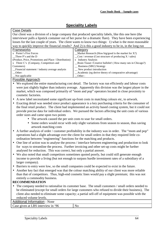## **Speciality Labels**

<span id="page-24-0"></span>

| <b>Case Details</b>                                                                                  |                                                                                                            |  |
|------------------------------------------------------------------------------------------------------|------------------------------------------------------------------------------------------------------------|--|
|                                                                                                      | Our client was a division of a large company that produced speciality labels, like this one here (the      |  |
|                                                                                                      | interviewer pulls a lipstick container out of her purse for a dramatic flare). They have been experiencing |  |
|                                                                                                      | losses for the last couple of years. The client wants to know two things: 1) what is the most reasonable   |  |
|                                                                                                      | way to quickly improve the financial results? And 2) is this a good industry to be in, in the long run     |  |
| Frameworks                                                                                           | Category                                                                                                   |  |
| x Porter's Five Forces                                                                               | Market Research (How big/good is the market for $X$ ?)                                                     |  |
| Three P's and the D                                                                                  | $\text{Cost}/\text{ revenue}$ (Cost structure of producing X / sales)                                      |  |
| (Product, Price, Promotions and Place / Distribution)                                                | x Industry Analysis                                                                                        |  |
| x Three C's (Company, Competitors and                                                                | Brain Teaser / Creative bullshit! (How many rats in Chicago?)                                              |  |
| Customers)                                                                                           | _ Business (SBU) Strategy                                                                                  |  |
| Financial statement / industry average analysis                                                      | _ New product introduction                                                                                 |  |
| Other:                                                                                               | Academic (eg derive theory of comparative advantage)                                                       |  |
| Not applicable                                                                                       | Other:                                                                                                     |  |
| Possible Approach                                                                                    |                                                                                                            |  |
| • We explored the entire manufacturing cost detail. The factory was run efficiently and labour costs |                                                                                                            |  |

- were just slightly higher than industry average. Apparently this division was the largest player in the market, which was composed primarily of "mom and pop" operators located in close proximity to cosmetic factories.
- A new label necessitated some significant up-front costs in matching colours etc, to artwork.
- Exacting detail was needed since product appearance is a key purchasing criteria for the consumer of the final retail product. The client had implemented an activity based costing system, but it could not provide precise data for individual orders. We pursued the factors affecting the unit costs of various order sizes and came upon two points
	- The artwork caused the per unit costs to soar for small orders.
	- Some orders would recur with only slight variations from season to season, thus saving artwork matching costs
- A further analysis of order / customer profitability in the industry was in order. The "mom and pop" operations had a slight advantage over the client for small orders in that they required little coordination between "engineering" functions for the matching and products.
- One line of action was to analyse the process / interface between engineering and production to look for ways to streamline the process. Further invoicing and other set-up costs might be further analysed for reduction. This was correct, but only a partial answer.
- We also noted that small competitors sometimes quoted poorly, but could still generate enough income to provide a living (but not enough to surpass hurdle investment rates of a subsidiary of a larger company).
- Barriers to entry were low, so the small companies could be expected to exist in the future.
- Another key fact that emerged was that the colour matching ability of our client was more reliable than that of competitors. Thus, high-end cosmetic lines would pay a slight premium; this was not entirely a commodity business.

## **RECOMMENDATION**

• The company needed to rationalise its customer base. The small customers / small orders needed to be eliminated (except for small orders for large customers who refused to divide their business), The client also needed to eliminate some capacity; a partial sell-off of equipment was possible with the reduced volume levels.

Additional Information - None

Case given at LBS interview in '96 No

Speciality Labels 64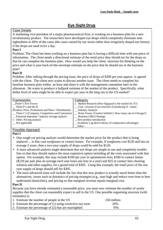## **Eye Sight Drug**

## <span id="page-25-0"></span>Case Details

A marketing vice-president of a major pharmaceutical firm, is working on a business plan for a new revolutionary product. The researchers have developed eye drops which completely eliminate near sightedness in 60% of the cases (the cases caused by eye strain rather than irregularly shaped eye lenses) if the drops are used twice a day.

## **Part I**

Problem: The client has been working on a business plan but is having a difficult time with one piece of information. The client needs a directional estimate of the retail price they should set for the drops so that he can complete the business plan. How would you help the client structure his thinking on the price and what is your back-of-the-envelope estimate on the price that he should use in the business plan?

## **Part II**

Problem: After talking through the pricing issue, the price of drops of \$200 per year approx. is agreed with the client. The client now wants to discuss another issue. The client needs to complete his baseline business plan within an hour and share it with the management committee later in the afternoon. He wants to produce a ballpark estimate of the market of the product. Specifically, what dollar level of sales might he be able to expect per year in the long run in the US market?

| Frameworks                                               | Category                                                           |
|----------------------------------------------------------|--------------------------------------------------------------------|
| Porter's Five Forces                                     | x Market Research (How big/good is the market for $X$ ?)           |
| Three P's and the D                                      | $\text{\_}$ Cost / revenue (Cost structure of producing X / sales) |
| (Product, Price, Promotions and Place / Distribution)    | __ Industry Analysis                                               |
| _ Three C's (Company, Competitors and Customers)         | _ Brain Teaser / Creative bullshit! (How many rats in Chicago?)    |
| $\equiv$ Financial statement / industry average analysis | _ Business (SBU) Strategy                                          |
| x Other: Pricing analysis                                | _New product introduction                                          |
| $\equiv$ Not applicable                                  | _Academic (eg derive theory of comparative advantage)              |
|                                                          | Other:                                                             |

## Possible Approach

#### **Part I**

- One rough cut pricing analysis would determine the market price for the product that is being replaced ... in this case eyeglasses or contact lenses. For example, if eyeglasses cost \$120 and last on average 2 years, then a two-year supply of drops could be sold for \$120.
- A more advanced analysis might determine that eye drops are simple to use and completely troublefree so that they should replace the most expensive option including all the costs associated with that option. For example, this may include \$100 per year in optometrists fees, \$180 in contact lenses (\$120 per pair plus on average each user loses one lens in a year) and \$25 in contact lens cleaning solution and other supplies, for a grand total of \$305. Using this example, the retail price of the one year supply of drops should sell for \$305.
- The most advanced issue will include the fact that this new product is actually much better than the alternatives, issues such as dynamics of pricing strategies (e.g., start high and reduce over time to best understand elasticities), and pricing so that marginal revenue equals marginal cost.

#### **Part II**

Because you have already estimated a reasonable price, you must now estimate the number of yearly supplies that the client can reasonably expect to sell in the US One possible organising structure (with estimates) is:

| 1. Estimate the number of people in the US                    | 250 million |  |
|---------------------------------------------------------------|-------------|--|
| 2. Estimate the percentage of $(1)$ using corrective eye wear | 20%         |  |
| 3. Estimate the percentage of (2) that are nearsighted        | 70%         |  |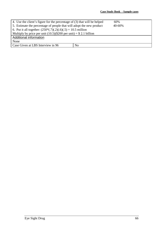| 4. Use the client's figure for the percentage of (3) that will be helped       |                | 60% |  |
|--------------------------------------------------------------------------------|----------------|-----|--|
| 5. Estimate the percentage of people that will adopt the new product<br>40-60% |                |     |  |
| 6. Put it all together: $(250*(.7)(.2)(.6)(.5) = 10.5$ million                 |                |     |  |
| Multiply by price per unit $(10.5)(\$200$ per unit) = \$2.1 billion            |                |     |  |
| Additional information                                                         |                |     |  |
| None                                                                           |                |     |  |
| Case Given at LBS Interview in 96                                              | N <sub>o</sub> |     |  |
|                                                                                |                |     |  |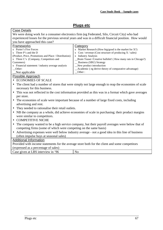## **Plugs etc**

<span id="page-27-0"></span>

| <b>Case Details</b>                                                                                         |                                                                                                        |  |  |
|-------------------------------------------------------------------------------------------------------------|--------------------------------------------------------------------------------------------------------|--|--|
|                                                                                                             | We were doing work for a consumer electronics firm (eg Federated, Silo, Circuit City) who had          |  |  |
|                                                                                                             | experienced losses for the previous several years and was in a difficult financial position. How would |  |  |
| you have approached this case?                                                                              |                                                                                                        |  |  |
| Frameworks                                                                                                  | Category                                                                                               |  |  |
| x Porter's Five Forces                                                                                      | x Market Research (How big/good is the market for $X$ ?)                                               |  |  |
| x Three P's and the D                                                                                       | x $Cost / revenue$ (Cost structure of producing $X / sales$ )                                          |  |  |
| (Product, Price, Promotions and Place / Distribution)                                                       | x Industry Analysis                                                                                    |  |  |
| x Three C's (Company, Competitors and                                                                       | Brain Teaser / Creative bullshit! (How many rats in Chicago?)                                          |  |  |
| Customers)                                                                                                  | _ Business (SBU) Strategy                                                                              |  |  |
| x Financial statement / industry average analysis                                                           | New product introduction                                                                               |  |  |
| Other:                                                                                                      | Academic (eg derive theory of comparative advantage)                                                   |  |  |
| Not applicable                                                                                              | Other:                                                                                                 |  |  |
| Possible Approach                                                                                           |                                                                                                        |  |  |
| • ECONOMIES OF SCALE                                                                                        |                                                                                                        |  |  |
| $\bullet$                                                                                                   | The client had a number of stores that were simply not large enough to reap the economies of scale     |  |  |
| necessary for this business.                                                                                |                                                                                                        |  |  |
| $\bullet$                                                                                                   | This was not reflected in the cost information provided as this was in a format which gave averages    |  |  |
| per store.                                                                                                  |                                                                                                        |  |  |
| The economies of scale were important because of a number of large fixed costs, including                   |                                                                                                        |  |  |
| $\bullet$<br>advertising and rent.                                                                          |                                                                                                        |  |  |
| They needed to rationalise their retail outlets.                                                            |                                                                                                        |  |  |
|                                                                                                             |                                                                                                        |  |  |
| NB the company as a whole, did achieve economies of scale in purchasing; their product margins              |                                                                                                        |  |  |
| were similar to competitors.                                                                                |                                                                                                        |  |  |
| <b>COMPETITIVE NICHE</b><br>$\bullet$                                                                       |                                                                                                        |  |  |
| The company wanted to be a high service company, but their payroll averages were below that of<br>$\bullet$ |                                                                                                        |  |  |
| competing firms (some of which were competing on the same basis)                                            |                                                                                                        |  |  |
| Advertising expenses were well below industry average - not a good idea in this line of business            |                                                                                                        |  |  |
| (often impulse buys at seasonal sales)                                                                      |                                                                                                        |  |  |
| <b>Additional Information</b>                                                                               |                                                                                                        |  |  |
|                                                                                                             |                                                                                                        |  |  |
| Provided with income statements for the average store both for the client and some competitors              |                                                                                                        |  |  |
| (expressed as a percentage of sales)                                                                        |                                                                                                        |  |  |

Case given at LBS interview in '96 No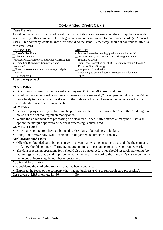## **Co-Branded Credit Cards**

### <span id="page-28-0"></span>Case Details

An oil company has its own credit card that many of its customers use when they fill up their car with gas. Recently, other companies have begun entering into agreements for co-branded cards (ie Amoco + Visa). This company wants to know if it should do the same. Either way, should it continue to offer its own credit card?

| $\frac{1}{2}$                                         |                                                                       |
|-------------------------------------------------------|-----------------------------------------------------------------------|
| Frameworks                                            | Category                                                              |
| Porter's Five Forces                                  | x Market Research (How big/good is the market for $X$ ?)              |
| $\Box$ Three P's and the D                            | $\text{Cost}/\text{ revenue}$ (Cost structure of producing X / sales) |
| (Product, Price, Promotions and Place / Distribution) | _ Industry Analysis                                                   |
| x Three C's (Company, Competitors and                 | _Brain Teaser /Creative bullshit! (How many rats in Chicago?)         |
| Customers)                                            | _ Business (SBU) Strategy                                             |
| Financial statement / industry average analysis       | New product introduction                                              |
| Other:                                                | _Academic (eg derive theory of comparative advantage)                 |
| $\sqrt{\ }$ Not applicable                            | Other:                                                                |
| Docciblo Approach                                     |                                                                       |

#### Possible Approach

## **CUSTOMER**

- Do current customers value the card do they use it? About 20% use it and like it.
- Would a co-branded card draw new customers or increase loyalty? Yes, people indicated they'd be more likely to visit our stations if we had the co-branded cards. However convenience is the main consideration when selecting a location.

## **COMPANY**

- Is the company currently performing the processing in house is it profitable? Yes they're doing it in house but are not making much money on it.
- Would the co-branded card processing be outsourced does it offer attractive margins? That's an option; the margins appear to be better if processing is outsourced.

## **COMPETITORS**

- How many competitors have co-branded cards? Only 1 but others are looking
- If they don't move now, would their choice of partners be limited? Probably

## **RECOMMENDATION**

- Offer the co-branded card, but outsource it. Given that existing customers use and like the company card, they should continue offering it, but attempt to shift customers to use the co-branded card.
- The data processing operations for it should also be outsourced. They should research marketing (comarketing) tactics that could improve the attractiveness of the card to the company's customers - with the intent of increasing the number of customers.

## Additional Information

- Considered the marketing research that had been conducted
- Explored the focus of the company (they had no business trying to run credit card processing).

|--|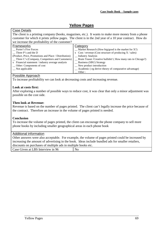## **Yellow Pages**

## <span id="page-29-0"></span>**Case Details**

The client is a printing company (books, magazines, etc.). It wants to make more money from a phone customer for which it prints yellow pages. The client is in the 2nd year of a 10 year contract. How do we increase the profitability of the customer?

| Frameworks                                            | Category                                                        |
|-------------------------------------------------------|-----------------------------------------------------------------|
| Porter's Five Forces                                  | $\equiv$ Market Research (How big/good is the market for X?)    |
| Three P's and the D                                   | x $Cost / revenue$ (Cost structure of producing $X / sales$ )   |
| (Product, Price, Promotions and Place / Distribution) | <b>Industry Analysis</b>                                        |
| _ Three C's (Company, Competitors and Customers)      | _ Brain Teaser / Creative bullshit! (How many rats in Chicago?) |
| x Financial statement / industry average analysis     | _ Business (SBU) Strategy                                       |
| _ Other: Components of cost                           | New product introduction                                        |
| $\equiv$ Not applicable                               | _ Academic (eg derive theory of comparative advantage)          |
|                                                       | $\equiv$ Other :                                                |

#### Possible Approach

To increase profitability we can look at decreasing costs and increasing revenue.

#### **Look at costs first:**

After exploring a number of possible ways to reduce cost, it was clear that only a minor adjustment was possible on the cost side.

#### **Then look at Revenue:**

Revenue is based on the number of pages printed. The client can't legally increase the price because of the contract. Therefore an increase in the volume of pages printed is needed.

#### **Conclusion**

To increase the volume of pages printed, the client can encourage the phone company to sell more phone books by including smaller geographical areas in each phone book

#### Additional information

Other answers were also acceptable. For example, the volume of pages printed could be increased by increasing the amount of advertising in the book. Ideas include bundled ads for smaller retailers, discounts on purchases of multiple ads in multiple books etc.

| Case Given at LBS Interview in 96 | $\overline{N}_{O}$ |
|-----------------------------------|--------------------|
|                                   |                    |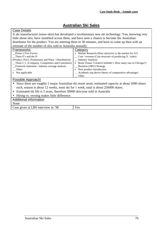## **Australian Ski Sales**

<span id="page-30-0"></span>

| Case Details                                                                                         |                                                                                                   |  |
|------------------------------------------------------------------------------------------------------|---------------------------------------------------------------------------------------------------|--|
| A ski manufacturer (snow-skis) has developed a revolutionary new ski technology. You, knowing very   |                                                                                                   |  |
|                                                                                                      | little about skis, have stumbled across them, and have seen a chance to become the Australian     |  |
|                                                                                                      | distributor for the product. You are meeting them in 30 minutes, and have to come up then with an |  |
| estimate of the number of skis sold in Australia annually                                            |                                                                                                   |  |
| <b>Frameworks</b>                                                                                    | Category                                                                                          |  |
| Porter's Five Forces                                                                                 | x Market Research (How attractive is the market for $X$ ?)                                        |  |
| Three P's and the D                                                                                  | $\text{\_}$ Cost / revenue (Cost structure of producing X / sales)                                |  |
| (Product, Price, Promotions and Place / Distribution)                                                | <b>Industry Analysis</b>                                                                          |  |
| Three C's (Company, Competitors and Customers)                                                       | x Brain Teaser / Creative bullshit! (How many rats in Chicago?)                                   |  |
| Financial statement / industry average analysis                                                      | _ Business (SBU) Strategy                                                                         |  |
| Other:                                                                                               | x New product introduction                                                                        |  |
| x Not applicable                                                                                     | _ Academic (eg derive theory of comparative advantage)                                            |  |
|                                                                                                      | Other                                                                                             |  |
| Possible Approach!                                                                                   |                                                                                                   |  |
| Since there are roughly 5 major Australian ski resort areas, estimated capacity at about 5000 skiers |                                                                                                   |  |
| each, season is about 12 weeks, most ski for 1 week, total is about 250000 skiers.                   |                                                                                                   |  |
| Estimated ski life is 5 years, therefore 50000 skis/year sold in Australia<br>$\bullet$              |                                                                                                   |  |
| Hiring vs. owning makes little difference.                                                           |                                                                                                   |  |
| Additional information                                                                               |                                                                                                   |  |
| None                                                                                                 |                                                                                                   |  |
| Case given at LBS interview in '96                                                                   | Yes                                                                                               |  |
|                                                                                                      |                                                                                                   |  |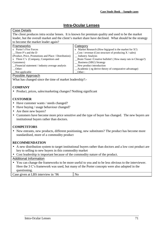## **Intra-Ocular Lenses**

## <span id="page-31-0"></span>**Case Details**

The client produces intra ocular lenses. It is known for premium quality and used to be the market leader, but the overall market and the client's market share have declined. What should be the strategy to become the market leader again?

| to become the manner reader again.                    |                                                                       |
|-------------------------------------------------------|-----------------------------------------------------------------------|
| Frameworks                                            | Category                                                              |
| x Porter's Five Forces                                | x Market Research (How big/good is the market for $X$ ?)              |
| Three P's and the D                                   | $\text{Cost}/\text{ revenue}$ (Cost structure of producing X / sales) |
| (Product, Price, Promotions and Place / Distribution) | _ Industry Analysis                                                   |
| x Three C's (Company, Competitors and                 | _Brain Teaser /Creative bullshit! (How many rats in Chicago?)         |
| Customers)                                            | _ Business (SBU) Strategy                                             |
| _Financial statement / industry average analysis      | _New product introduction                                             |
| Other:                                                | _Academic (eg derive theory of comparative advantage)                 |
| $\sqrt{\ }$ Not applicable                            | Other:                                                                |
| December American                                     |                                                                       |

#### Possible Approach

What has changed since the time of market leadership?:-

## **COMPANY**

• Product, prices, sales/marketing changes? Nothing significant

## **CUSTOMER**

- Have customer wants / needs changed?
- Have buying / usage behaviour changed?
- Are there new buyers?
- Customers have become more price sensitive and the type of buyer has changed. The new buyers are institutional buyers rather than doctors.

## **COMPETITORS**

• New entrants, new products, different positioning, new substitutes? The product has become more standardised, more of a commodity product

#### **RECOMMENDATION**

- A new distribution system to target institutional buyers rather than doctors and a low cost product are key to selling to new buyers in this commodity market
- Cost leadership is important because of the commodity nature of the product.

#### Additional Information

• You can change the frameworks to be more useful to you and to be less obvious to the interviewer. Here the 3 C's framework was used, but many of the Porter concepts were also adopted in the questioning.

Case given at LBS interview in '96 No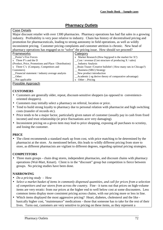## **Pharmacy Outlets**

#### <span id="page-32-0"></span>Case Details

Major discount retailer with over 1300 pharmacies. Pharmacy operations has had flat sales in a growing industry. Profitability is very poor relative to industry. Chain has history of decentralised pricing and promotion for pharmaceuticals, leading to strong autonomy in field operations, as well as wildly inconsistent pricing. Customer pricing complaints and customer attrition is chronic. New head of pharmacy operations has engaged us to "solve" the pricing issue. How should we proceed?

| <b>Frameworks</b>                                     | Category                                                              |
|-------------------------------------------------------|-----------------------------------------------------------------------|
| Porter's Five Forces                                  | x Market Research (How big/good is the market for $X$ ?)              |
| $x$ Three P's and the D                               | $\text{Cost}/\text{ revenue}$ (Cost structure of producing X / sales) |
| (Product, Price, Promotions and Place / Distribution) | _ Industry Analysis                                                   |
| x Three C's (Company, Competitors and                 | _Brain Teaser /Creative bullshit! (How many rats in Chicago?)         |
| Customers)                                            | _ Business (SBU) Strategy                                             |
| Financial statement / industry average analysis       | _New product introduction                                             |
| Other:                                                | _Academic (eg derive theory of comparative advantage)                 |
| Not applicable                                        | $x$ Other : Pricing                                                   |
| Possible Approach                                     |                                                                       |

## **CUSTOMERS**

- Customers are generally older, repeat, discount-sensitive shoppers (as opposed to convenienceoriented shoppers).
- Customers may initially select a pharmacy on referral, location or price.
- Tend to build strong loyalty to pharmacy due to personal relation with pharmacist and high switching costs (transfer of records etc).
- Price tends to be a major factor, particularly given nature of customer (usually pay in cash from fixed income) and trust relationship (ie price fluctuations acre very damaging).
- Inconsistent pricing on a given item may lead to price shopping, exposing all purchases to scrutiny, and losing the customer.

## **PRICE**

• The client recommends a standard mark up from cost, with price matching to be determined by the pharmacist at the store. As mentioned before, this leads to wildly different pricing from store to store, as different pharmacists are vigilant to different degrees, regarding optimal pricing strategies.

## **COMPETITORS**

• Three main groups - chain drug stores, independent pharmacies, and discount chains with pharmacy operations (Wal-Mart, Kmart). Client is in the "discount" group but competition is fierce between groups. No pricing studies have been done.

## **NARROWING**

- *Do a pricing study* How
- *Select a market basket of items in commonly dispensed quantities, and call for prices from a selection of competitors and our stores from across the country.* Fine - it turns out that prices on high-volume items are very erratic: from our prices at the higher end to well below cost at some discounters. Less common items display more consistent pricing across chains, with our pricing more or less in line.
- Which items displayed the most aggressive pricing? Heart, diabetes, cholesterol and the like basically higher cost, "maintenance" medications - those that someone has to take for the rest of their lives. Turns out, customers are very sensitive to pricing on these items, as they represent a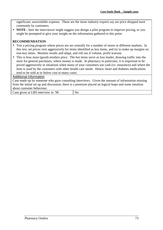significant, unavoidable expense. These are the items industry experts say are price shopped most commonly by customers.

• **NOTE** - here the interviewer might suggest you design a pilot program to improve pricing, or you might be prompted to give your insight on the information gathered to this point.

#### **RECOMMENDATION**

- Test a pricing program where prices are set centrally for a number of stores in different markets. In this test, set prices very aggressively for items identified as key items, and try to make up margins on non-key items. Monitor results and adapt, and roll out if volume, profit warrant.
- This is how most (good) retailers price. The hot items serve as loss leader, drawing traffic into the store for general purchases, where money is made. In pharmacy in particular, it is important to be priced aggressively in situations when many of your customers use cash (vs. insurance) and where the item is used by the customers with other health care needs. Hence, heart and diabetes medications tend to be sold at or below cost in many cases.

#### Additional Information

Case made up by someone who gave consulting interviews. Given the amount of information missing from the initial set up and discussion, there is a premium placed on logical leaps and some intuition about customer behaviour.

Case given at LBS interview in '96 No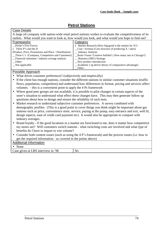## **Petrol Stations**

<span id="page-34-0"></span>

| <b>Case Details</b>                                                                                                     |                                                                                                           |  |
|-------------------------------------------------------------------------------------------------------------------------|-----------------------------------------------------------------------------------------------------------|--|
|                                                                                                                         | A large oil company with nation-wide retail petrol stations wishes to evaluate the competitiveness of its |  |
| outlets. What would you want to look at, how would you look, and what would you hope to find out?                       |                                                                                                           |  |
| Frameworks                                                                                                              | Category                                                                                                  |  |
| Porter's Five Forces                                                                                                    | x Market Research (How big/good is the market for $X$ ?)                                                  |  |
| x Three P's and the D                                                                                                   | $\text{Cost}/\text{ revenue}$ (Cost structure of producing X / sales)                                     |  |
| (Product, Price, Promotions and Place / Distribution)                                                                   | _ Industry Analysis                                                                                       |  |
| Three C's (Company, Competitors and Customers)                                                                          | _Brain Teaser /Creative bullshit! (How many rats in Chicago?)                                             |  |
| Financial statement / industry average analysis                                                                         | <b>Business (SBU) Strategy</b>                                                                            |  |
| Other:                                                                                                                  | New product introduction                                                                                  |  |
| _Not applicable                                                                                                         | Academic (eg derive theory of comparative advantage)                                                      |  |
|                                                                                                                         | Other:                                                                                                    |  |
| <b>Possible Approach</b>                                                                                                |                                                                                                           |  |
| What drives customer preferences? (subjectively and empirically)                                                        |                                                                                                           |  |
| If the client has enough stations, consider the different stations in similar customer situations (traffic<br>$\bullet$ |                                                                                                           |  |
|                                                                                                                         | flows, population, competition) and understand how differences in format, pricing and services affect     |  |
| volumes. - this is a convenient point to apply the 4 Ps framework                                                       |                                                                                                           |  |
| Where good peer groups are not available, it is possible to pilot changes in certain aspects of the<br>$\bullet$        |                                                                                                           |  |
| store's situation to understand what effect these changes have. This may then generate follow up                        |                                                                                                           |  |
| questions about how to design and ensure the reliability of such tests.                                                 |                                                                                                           |  |
| Market research to understand subjective customer preferences. A survey combined with                                   |                                                                                                           |  |
|                                                                                                                         |                                                                                                           |  |
| demographic profiles. (This is a good point to cover things you think might be important about gas                      |                                                                                                           |  |
| stations such as price, convenience store, service, paying at the pump, easy entrance and exit, well lit,               |                                                                                                           |  |
| design aspects, ease of credit card payment etc). It would also be appropriate to compare with                          |                                                                                                           |  |
| industry averages.                                                                                                      |                                                                                                           |  |
| Brand loyalty - if the good locations in a market are foreclosed to me, does it matter how competitive<br>$\bullet$     |                                                                                                           |  |
| my stores are? Will customers switch stations - what switching costs are involved and what type of                      |                                                                                                           |  |
| benefits do I have to impart to win volume?                                                                             |                                                                                                           |  |
| Consider both content issues (such as using the 4 P's framework) and the process issues (i.e. how to<br>$\bullet$       |                                                                                                           |  |
| get the required information - as covered in the points above)                                                          |                                                                                                           |  |
| <b>Additional Information</b>                                                                                           |                                                                                                           |  |
| • None                                                                                                                  |                                                                                                           |  |
| Case given at LBS interview in '96                                                                                      | N <sub>o</sub>                                                                                            |  |
|                                                                                                                         |                                                                                                           |  |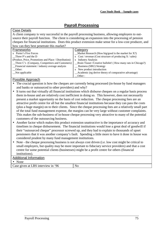## **Payroll Processing**

<span id="page-35-0"></span>

| <b>Case Details</b>                                                                                                   |                                                                                                  |
|-----------------------------------------------------------------------------------------------------------------------|--------------------------------------------------------------------------------------------------|
| A client company is very successful in the payroll processing business, allowing employers to out-                    |                                                                                                  |
| source their payroll function. The client is considering an expansion into the processing of pension                  |                                                                                                  |
| cheques for financial institutions. Does this product extension make sense for a low-cost producer, and               |                                                                                                  |
| how can they best penetrate this market?                                                                              |                                                                                                  |
| Frameworks                                                                                                            | <b>Category</b>                                                                                  |
| x Porter's Five Forces                                                                                                | _Market Research (How big/good is the market for $X$ ?)                                          |
| Three P's and the D                                                                                                   | x $Cost / revenue$ (Cost structure of producing $X / sales$ )                                    |
| (Product, Price, Promotions and Place / Distribution)                                                                 | x Industry Analysis                                                                              |
| _Three C's (Company, Competitors and Customers)                                                                       | _Brain Teaser /Creative bullshit! (How many rats in Chicago?)                                    |
| _Financial statement / industry average analysis                                                                      | _ Business (SBU) Strategy                                                                        |
| Other:                                                                                                                | x New product introduction                                                                       |
| _Not applicable                                                                                                       | Academic (eg derive theory of comparative advantage)                                             |
|                                                                                                                       | Other:                                                                                           |
| Possible Approach                                                                                                     |                                                                                                  |
| The crucial question is how the cheques are currently being processed (in-house by fund managers                      |                                                                                                  |
| and banks or outsourced to other providers) and why?                                                                  |                                                                                                  |
| It turns out that virtually all financial institutions which disburse cheques on a regular basis process<br>$\bullet$ |                                                                                                  |
| them in-house and are relatively cost inefficient in doing so. This however, does not necessarily                     |                                                                                                  |
| present a market opportunity on the basis of cost reduction. The cheque processing fees are an                        |                                                                                                  |
|                                                                                                                       |                                                                                                  |
| attractive profit centre for all but the smallest financial institutions because they can pass the costs              |                                                                                                  |
| (plus a huge margin) on to their clients. Since the cheque processing fees are a relatively small part                |                                                                                                  |
| of the total fund management expense, the margins can be very large without customer complaints.                      |                                                                                                  |
| This makes the sub-business of in-house cheque processing very attractive to many of the potential                    |                                                                                                  |
| customers of the outsourcing business.                                                                                |                                                                                                  |
|                                                                                                                       | Another factor which makes this product extension unattractive is the importance of accuracy and |
| timelines in cheque disbursement. The financial institutions would lose a great deal of goodwill if                   |                                                                                                  |
| thoir "outcoursed gheave" processes covered up, and they had to evalgin to thousands of upset                         |                                                                                                  |

- their "outsourced cheque" processor screwed up, and they had to explain to thousands of upset pensioners that it was another company's fault. Spending a little more to have it done in house was considered prudent by many fund management institutions.
- Note the cheque processing business is not always cost driven (i.e. low cost might be critical to small employers, but quality may be more important to fiduciary service providers) and that a cost centre for some potential clients (businesses) might be a profit centre for others (financial institutions).

#### Additional Information • None

Case given at LBS interview in  $96$  No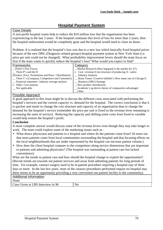## **Hospital Payment System**

#### <span id="page-36-0"></span>Case Details

A non-profit hospital wants help to reduce the \$10 million loss that the organisation has been experiencing in the last 3 years. If the hospital continues this level of loss for more than 2 years, then the hospital endowment would be completely gone and the hospital would need to close its doors.

Problem: It is realised that the hospital's loss was due to a new law which basically fixed hospital prices because of the new DRG (Diagnosis related groups) hospital payment system in New York State (i.e. price per unit could not be changed). What profitability improvement levers should the team focus on first if the team wants to quickly reduce the hospital's loss? What would you expect to find?

| Frameworks                                               | Category                                                         |
|----------------------------------------------------------|------------------------------------------------------------------|
| Porter's Five Forces                                     | $M$ arket Research (How big/good is the market for X?)           |
| Three P's and the D                                      | x Cost / revenue (Cost structure of producing $X$ / sales)       |
| (Product, Price, Promotions and Place / Distribution)    | <b>Industry Analysis</b>                                         |
| $\equiv$ Three C's (Company, Competitors and Customers)  | __ Brain Teaser / Creative bullshit! (How many rats in Chicago?) |
| $\equiv$ Financial statement / industry average analysis | _ Business (SBU) Strategy                                        |
| x Other: Cost analysis                                   | New product introduction                                         |
| $\equiv$ Not applicable                                  | _Academic (eg derive theory of comparative advantage)            |
|                                                          | Other                                                            |

## Possible Approach

A good approach to this issue might be to discuss the different costs associated with performing the hospital's services and the current capacity vs. demand for the hospital. The correct conclusion is that it is quicker and easier to change the cost structure and capacity of an organisation than to change the demand for the hospital's service (remember the price per unit is fixed so the revenue lever remaining is increasing the units of service). Reducing the capacity and shifting some costs from fixed to variable would help restore the hospital's profit.

#### **Conclusion**

A more complete answer would discuss some of the revenue levers even though they may take longer to work. The team could explore some of the marketing issues such as :

- What draws physicians and patients to a hospital and where do the patients come from? (It turns out that most patients come from local communities surrounding the hospital and that focusing efforts on the local neighbourhoods that are under represented by the hospital can increase patient volume.)
- How does the client hospital compare to the competitors along service dimensions that are important to patients and admitting physicians? (The hospital was outstanding at patient care but lacked convenience).

What are the trends in patient care and how should the hospital change to exploit the opportunities? (Recent trends are towards out patient services and away from admitting patients for long periods of time. For example, cataract surgery used to be in-patient procedure requiring a hospital stay of three days or more. In the last few years, most of the cataract procedures performed require no hospital stay. there seems to be an opportunity providing a very convenient out-patient facility to the community). Additional information

#### None

Case Given at LBS Interview in 96 No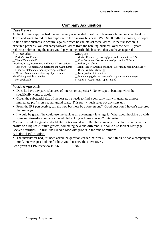## **Company Acquisition**

#### <span id="page-37-0"></span>Case Details

A client of mine approached me with a very open ended question. He owns a large branched bank in Texas and wants to reduce his exposure to the banking business. With \$100 million in losses, he hopes to find a new business to acquire, against which he can off-set these losses. If the transaction is executed properly, you can carry forward losses from the banking business, over the next 15 years, reducing / eliminating the taxes you'd pay on the profitable business that you have acquired.

| Frameworks                                            | Category                                                                       |
|-------------------------------------------------------|--------------------------------------------------------------------------------|
| Porter's Five Forces                                  | $M$ arket Research (How big/good is the market for X?)                         |
| Three P's and the D                                   | $\cos$ / revenue (Cost structure of producing X / sales)                       |
| (Product, Price, Promotions and Place / Distribution) | _ Industry Analysis                                                            |
| _Three C's (Company, Competitors and Customers)       | <b>Example 1</b> Brain Teaser / Creative bullshit! (How many rats in Chicago?) |
| Financial statement / industry average analysis       | _ Business (SBU) Strategy                                                      |
| x Other: Analytical considering objectives and        | $\equiv$ New product introduction                                              |
| identifying possible strategies.                      | _Academic (eg derive theory of comparative advantage)                          |
| Not applicable                                        | x Other: Acquisition - open ended                                              |
|                                                       |                                                                                |

## Possible Approach

- Does he have any particular area of interest or expertise? No, except in banking which he specifically wants to avoid.
- Given the substantial size of the losses, he needs to find a company that will generate almost immediate profits on a rather grand scale. This pretty much rules out any start-ups.
- From the IRS perspective, can the new business be a foreign one? Good question, I haven't explored that route yet.
- It would be great if he could use the bank as an advantage leverage it. What about hooking up with some multi-media company - the whole banking at home concept? Interesting

Microsoft would be great - I doubt Bill Gates would sell. But that company offers him what he needs: profits on a big scale, future growth, something new and different. He could also look at Mortgage Backed securities… a firm like Freddie Mac with profits in the tens of millions.

## Additional Information

• The interviewer had just been asked the question earlier that week. I don't think he had a company in mind. He was just looking for how you'd narrow the alternatives.

| .96<br>eiven at<br>Case<br>- interview<br>1n<br>הסכ | N.<br>'NU. |
|-----------------------------------------------------|------------|
|                                                     |            |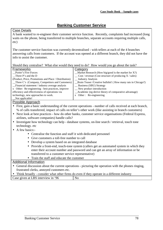## **Banking Customer Service**

<span id="page-38-0"></span>Case Details

A bank wanted to re-engineer their customer service function. Recently, complaints had increased (long waits on the phone, being transferred to multiple branches, separate accounts requiring multiple calls, etc)

The customer service function was currently decentralised - with tellers at each of the 4 branches answering calls from customers. If the account was opened at a different branch, they did not have the info to assist the customer.

|                                                                                                                                                 | Should they centralise? What else would they need to do? How would you go about the task?                |  |  |
|-------------------------------------------------------------------------------------------------------------------------------------------------|----------------------------------------------------------------------------------------------------------|--|--|
| Frameworks                                                                                                                                      | <b>Category</b>                                                                                          |  |  |
| Porter's Five Forces                                                                                                                            | Market Research (How big/good is the market for X?)                                                      |  |  |
| Three P's and the D                                                                                                                             | Cost / revenue (Cost structure of producing X / sales)                                                   |  |  |
| (Product, Price, Promotions and Place / Distribution)                                                                                           | _ Industry Analysis                                                                                      |  |  |
| Three C's (Company, Competitors and Customers)                                                                                                  | Brain Teaser / Creative bullshit! (How many rats in Chicago?)                                            |  |  |
| _Financial statement / industry average analysis                                                                                                | _ Business (SBU) Strategy                                                                                |  |  |
| x Other: Re-engineering - best practices, improve                                                                                               | _ New product introduction                                                                               |  |  |
| efficiency and effectiveness of operations via                                                                                                  | Academic (eg derive theory of comparative advantage)                                                     |  |  |
| technology, new approaches to work.<br>Not applicable!                                                                                          | x Other: Re-engineering                                                                                  |  |  |
| Possible Approach                                                                                                                               |                                                                                                          |  |  |
|                                                                                                                                                 | • First, gain a basic understanding of the current operations - number of calls received at each branch, |  |  |
|                                                                                                                                                 | % of calls transferred, impact of calls on teller's other work (like assisting in branch customers)      |  |  |
|                                                                                                                                                 |                                                                                                          |  |  |
| Next look at best practices - how do other banks, customer service organisations (Federal Express,<br>$\bullet$                                 |                                                                                                          |  |  |
| airlines, software companies) handle calls?                                                                                                     |                                                                                                          |  |  |
| Investigate how technology can help - database systems, on-line search / retrieval, touch tone<br>$\bullet$                                     |                                                                                                          |  |  |
| technology. etc                                                                                                                                 |                                                                                                          |  |  |
| $\bullet$ A few basics:-                                                                                                                        |                                                                                                          |  |  |
| • Centralise the function and staff it with dedicated personnel                                                                                 |                                                                                                          |  |  |
| Give customers a toll-free number to call                                                                                                       |                                                                                                          |  |  |
| Develop a system based on an integrated database                                                                                                |                                                                                                          |  |  |
| • Provide a front-end, touch-tone system (callers get an automated system in which they                                                         |                                                                                                          |  |  |
| enter their account number and password and can get an array of information or be                                                               |                                                                                                          |  |  |
| transferred to a customer service representative)                                                                                               |                                                                                                          |  |  |
| • Train the staff and educate the customer                                                                                                      |                                                                                                          |  |  |
| <b>Additional Information</b>                                                                                                                   |                                                                                                          |  |  |
|                                                                                                                                                 |                                                                                                          |  |  |
| General discussion about the current operations - picturing the operation with the phones ringing,<br>frustrated clerks, annoyed customers etc. |                                                                                                          |  |  |
| Think broadly - consider what other firms do even if they operate in a different industry                                                       |                                                                                                          |  |  |
|                                                                                                                                                 |                                                                                                          |  |  |
| Case given at LBS interview in '96                                                                                                              | N <sub>o</sub>                                                                                           |  |  |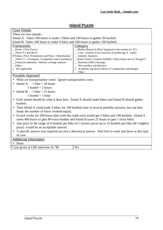## **Island Puzzle**

<span id="page-39-0"></span>

| <b>Case Details</b>                                                                                    |                                                                                                        |  |
|--------------------------------------------------------------------------------------------------------|--------------------------------------------------------------------------------------------------------|--|
| There are two islands:-                                                                                |                                                                                                        |  |
| Island A: Takes 100 hours to make 5 bikes and 100 hours to gather 20 bushels                           |                                                                                                        |  |
| Island B: Takes 100 hours to make 4 bikes and 100 hours to gather 100 bushels                          |                                                                                                        |  |
| Frameworks                                                                                             | <b>Category</b>                                                                                        |  |
| Porter's Five Forces                                                                                   | _Market Research (How big/good is the market for $X$ ?)                                                |  |
| Three P's and the D                                                                                    | $\_\_$ Cost / revenue (Cost structure of producing X / sales)                                          |  |
| (Product, Price, Promotions and Place / Distribution)                                                  | <b>Industry Analysis</b>                                                                               |  |
| Three C's (Company, Competitors and Customers)                                                         | Brain Teaser / Creative bullshit! (How many rats in Chicago?)                                          |  |
| Financial statement / industry average analysis                                                        | _ Business (SBU) Strategy                                                                              |  |
| Other:                                                                                                 | _ New product introduction                                                                             |  |
| x Not applicable                                                                                       | x Academic (eg derive theory of comparative advantage)                                                 |  |
|                                                                                                        | Other:                                                                                                 |  |
| Possible Approach                                                                                      |                                                                                                        |  |
| What are transportation costs? Ignore transportation costs                                             |                                                                                                        |  |
| Island A: $1 \text{ bike} = 20 \text{ hours}$                                                          |                                                                                                        |  |
| 1 bushel = $5$ hours                                                                                   |                                                                                                        |  |
| Island B:<br>1 bike = $25$ hours                                                                       |                                                                                                        |  |
| 1 bushel = 1 hour                                                                                      |                                                                                                        |  |
| Each island should do what it does best. Island A should make bikes and Island B should gather         |                                                                                                        |  |
| bushels.                                                                                               |                                                                                                        |  |
| Then Island A could trade 5 bikes for 100 bushels (one of several possible answers, but one that       |                                                                                                        |  |
|                                                                                                        |                                                                                                        |  |
| keeps the number of hours worked equal).                                                               |                                                                                                        |  |
| If each works for 200 hours then with this trade each would get 5 bikes and 100 bushels. Island A      |                                                                                                        |  |
| saves 400 hours or gets 80 extra bushels and Island B saves 25 hours or gets 1 extra bike)             |                                                                                                        |  |
| Any price in the range of 4 bushels per bike (A's lowest price) up to 25 bushels per bike (B's highest |                                                                                                        |  |
| price) would be an acceptable answer.                                                                  |                                                                                                        |  |
|                                                                                                        | A specific answer was required not just a theoretical answer. Feel free to write and draw in this type |  |
| of case                                                                                                |                                                                                                        |  |
| <b>Additional Information</b>                                                                          |                                                                                                        |  |
| • None                                                                                                 |                                                                                                        |  |
| Case given at LBS interview in '96                                                                     | N <sub>o</sub>                                                                                         |  |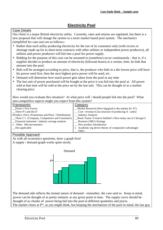## **Electricity Pool**

#### <span id="page-40-0"></span>Case Details

Our client is a major British electricity utility. Currently, rates and returns are regulated, but there is a new proposal that will change the system to a more market based pool system. The mechanics (simplified for case use) are as follows:-

- Rather than each utility producing electricity for the use of its customers only (with excess or shortage made up for in short-term contracts with other utilities or independent power producers), all utilities and power producers will bid into a pool for power supply.
- Bidding for the purpose of this case can be assumed to (somehow) occur continuously that is, if a supplier decides to produce an amount of electricity (kilowatt-hours) at a certain, time, he bids that amount into the pool.
- Bids will be arranged according to price, that is, the producer who bids in a the lowest price will have his power used first, then the next highest price power will be used, etc.
- Demand will determine how much power gets taken from the pool at any time
- The last unit of power purchased will be bought at the price it was bid into the pool at. All power sold at that time will be sold at the price set by the last unit. This can be thought of as a market clearing price.

How would you evaluate this situation? At what price will / should people bid into the pool? What non-competitive aspects might you expect from this system?

| <b>Frameworks</b>                                     | Category                                                      |
|-------------------------------------------------------|---------------------------------------------------------------|
| Porter's Five Forces                                  | $M$ arket Research (How big/good is the market for X?)        |
| Three P's and the D                                   | $\cos t$ / revenue (Cost structure of producing X / sales)    |
| (Product, Price, Promotions and Place / Distribution) | _ Industry Analysis                                           |
| _Three C's (Company, Competitors and Customers)       | _Brain Teaser /Creative bullshit! (How many rats in Chicago?) |
| Financial statement / industry average analysis       | _ Business (SBU) Strategy                                     |
| x Other: Microeconomics                               | _ New product introduction                                    |
| Not applicable                                        | x Academic (eg derive theory of comparative advantage)        |
|                                                       | $\cdot$ Other :                                               |

## Possible Approach

As with all economics questions, draw a graph first! A supply / demand graph works quite nicely.



The demand side reflects the instant nature of demand - remember, the case said so. Keep in mind, power can be thought of as pretty inelastic at any given point in time. The supply curve should be thought of as chunks of power being bid into the pool at different quantities and prices. The market clears at  $P^*$ , as you might think, but keeping the mechanism of the pool in mind, the last guy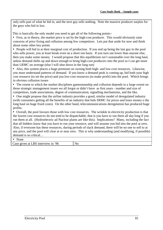only sells part of what he bid in, and the next guy sells nothing. Note the massive producer surplus for the guys who bid in low.

This is basically the only model you need to get all of the following points:-

• First, as in theory, the market price is set by the high-cost producer. This would obviously raise concerns of price fixing and collusion among few competitors. Lets put that aside for now and think about some other key points

• People will bid in at their marginal cost of production. If you end up being the last guy in the pool who sells power, you at least break even on a short run basis. If you turn out lower than anyone else, then you make some money. I would propose that this equilibrium isn't sustainable over the long haul, unless demand shifts up and down enough to bring high-cost producers into the pool so I can get more than LRMC on average (else I will shut down in the long run)

• Also, this system places a huge premium on owning both high- and low-cost resources. Likewise, you must understand patterns of demand. If you know a demand peak is coming up, bid both your high cost resource (to set the price) and you low-cost resources (to make profit) into the pool. Which brings in obvious collusion issues

• The extent to which the market disciplines gamesmanship and collusion depends to a large extent on those strategic management issues we all forgot or didn't have as first years - number and size of competitors, trade associations, degree of communication, signalling mechanisms, and the like.

• One might propose that the airline industry provides a good, similar model of deregulated industry (with consumers getting all the benefits of an industry that bids SRMC for prices and loses money o the long haul on huge fixed costs). On the other hand, telecommunications deregulation has produced huge profits.

• Overall, the pool favours those with low cost resources. The wrinkle in electricity production is that the lowest cost resources do not tend to be dispatchable, that is you have to run them all day long if you run them at all. (Hydroelectric ad Nuclear plants are like this). Implications? Many, including the fact that all bidders know that you have to run your resource, and will assume you bid into the pool at zero. Also, if everyone has these resources, during periods of slack demand, there will be no one to sell to at any price, and the pool will clear at or near zero. This is why understanding (and modifying, if possible) demand is so critical…

#### • None

Case given at LBS interview in '96 No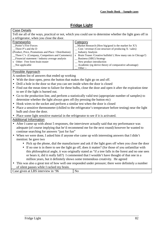## **Fridge Light**

<span id="page-42-0"></span>

| <b>Case Details</b>                                                                                                                              |                                                                                                         |  |
|--------------------------------------------------------------------------------------------------------------------------------------------------|---------------------------------------------------------------------------------------------------------|--|
| Tell me all of the ways, practical or not, which you could use to determine whether the light goes off in                                        |                                                                                                         |  |
| a refrigerator, when you close the door.                                                                                                         |                                                                                                         |  |
| Frameworks                                                                                                                                       | <b>Category</b>                                                                                         |  |
| Porter's Five Forces                                                                                                                             | Market Research (How big/good is the market for X?)                                                     |  |
| Three P's and the D                                                                                                                              | $\cos t$ / revenue (Cost structure of producing X / sales)                                              |  |
| (Product, Price, Promotions and Place / Distribution)<br>Three C's (Company, Competitors and Customers)                                          | <b>Industry Analysis</b><br>x Brain Teaser /Creative bullshit! (How many rats in Chicago?)              |  |
| Financial statement / industry average analysis                                                                                                  | _ Business (SBU) Strategy                                                                               |  |
| x Other: Free form brain teaser                                                                                                                  | _New product introduction                                                                               |  |
| _Not applicable                                                                                                                                  | Academic (eg derive theory of comparative advantage)                                                    |  |
|                                                                                                                                                  | Other $:$                                                                                               |  |
| Possible Approach                                                                                                                                |                                                                                                         |  |
| A random list of answers that ended up working                                                                                                   |                                                                                                         |  |
| With the door open, press the button that makes the light go on and off.                                                                         |                                                                                                         |  |
| Drill a hole in the door so that you can see inside when the door is closed                                                                      |                                                                                                         |  |
| $\bullet$                                                                                                                                        | Find out the mean time to failure for these bulbs, close the door and open it after the expiration time |  |
| to see if the light is burned out.                                                                                                               |                                                                                                         |  |
| Go to the production line, and perform a statistically valid test (appropriate number of samples) to<br>$\bullet$                                |                                                                                                         |  |
| determine whether the light always goes off (by pressing the button etc)                                                                         |                                                                                                         |  |
| Hook wires to the socket and perform a similar test when the door is closed<br>$\bullet$                                                         |                                                                                                         |  |
| Place a sensitive thermometer (chilled to the refrigerator's temperature before testing) near the light<br>$\bullet$                             |                                                                                                         |  |
| bulb and close the door.                                                                                                                         |                                                                                                         |  |
| Place some light sensitive material in the refrigerator to see if it is activated.                                                               |                                                                                                         |  |
| <b>Additional Information</b>                                                                                                                    |                                                                                                         |  |
| After I came up with about 5 responses, the interviewer actually said that my performance was                                                    |                                                                                                         |  |
| adequate (of course implying that he'd recommend me for the next round) however he wanted to                                                     |                                                                                                         |  |
| continue searching for answers "just for fun"                                                                                                    |                                                                                                         |  |
| When we were done, I asked him if anyone else came up with interesting answers that I didn't<br>$\bullet$                                        |                                                                                                         |  |
| mention: he gave two                                                                                                                             |                                                                                                         |  |
| • Pick up the phone, dial the manufacturer and ask if the light goes off when you close the door                                                 |                                                                                                         |  |
| If no one is in there to see the light go off, does it matter? (for those of you unfamiliar with<br>$\bullet$                                    |                                                                                                         |  |
| this philosophical angle, it was originally stated as "if a tree falls in the forest and no one sees                                             |                                                                                                         |  |
| or hears it, did it really fall?) I commented that I wouldn't have thought of that one in a                                                      |                                                                                                         |  |
|                                                                                                                                                  | million years, but it definitely shows some tremendous creativity. He agreed                            |  |
|                                                                                                                                                  |                                                                                                         |  |
| This was also a great test of how well one responded under pressure; there were definitely a number<br>of silent pauses while I racked my brain. |                                                                                                         |  |
| $G_{\text{max}}$ is a $\pm 1 \text{ D} \text{G}$ is the set of $\theta$                                                                          | $NT -$                                                                                                  |  |

| Case given at LBS interview in '96 | No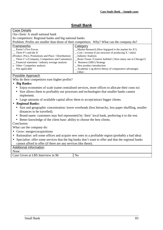## **Small Bank**

<span id="page-43-0"></span>

| <b>Case Details</b>                                                                                                              |                                                                                               |  |
|----------------------------------------------------------------------------------------------------------------------------------|-----------------------------------------------------------------------------------------------|--|
| Our client: A small national bank                                                                                                |                                                                                               |  |
| Its competitors: Regional banks and big national banks                                                                           |                                                                                               |  |
|                                                                                                                                  | Problem: Profits are smaller than those of their competitors. Why? What can the company do?   |  |
| Frameworks                                                                                                                       | Category                                                                                      |  |
| Porter's Five Forces                                                                                                             | Market Research (How big/good is the market for $X$ ?)                                        |  |
| Three P's and the D                                                                                                              | Cost / revenue (Cost structure of producing $X$ / sales)                                      |  |
| (Product, Price, Promotions and Place / Distribution)                                                                            | <b>Industry Analysis</b>                                                                      |  |
| Three C's (Company, Competitors and Customers)<br>Financial statement / industry average analysis                                | Brain Teaser / Creative bullshit! (How many rats in Chicago?)                                 |  |
| x Other: Competitor analysis                                                                                                     | x Business (SBU) Strategy<br>New product introduction                                         |  |
| _Not applicable                                                                                                                  | Academic (eg derive theory of comparative advantage)                                          |  |
|                                                                                                                                  | Other:                                                                                        |  |
| Possible Approach                                                                                                                |                                                                                               |  |
| Why do their competitors earn higher profits?                                                                                    |                                                                                               |  |
| • Big Banks:                                                                                                                     |                                                                                               |  |
|                                                                                                                                  | Enjoy economies of scale (same centralised services, more offices to allocate their costs to) |  |
|                                                                                                                                  | Size allows them to profitably use processes and technologies that smaller banks cannot       |  |
| implement.                                                                                                                       |                                                                                               |  |
| Large amounts of available capital allow them to accept/attract bigger clients.                                                  |                                                                                               |  |
| <b>Regional Banks:</b>                                                                                                           |                                                                                               |  |
|                                                                                                                                  |                                                                                               |  |
| Size and geographic concentration: lower overheads (less hierarchy, less paper shuffling, smaller<br>distances to be travelled). |                                                                                               |  |
| Brand name: customers may feel represented by 'their' local bank, preferring it to the rest.                                     |                                                                                               |  |
| • Better knowledge of the client base: ability to choose the best clients.                                                       |                                                                                               |  |
| Conclusion                                                                                                                       |                                                                                               |  |
| What can the company do:                                                                                                         |                                                                                               |  |
| Grow: mergers/acquisitions                                                                                                       |                                                                                               |  |
| • Rationalise: sell some offices and acquire new ones in a profitable region (probably a bad idea)                               |                                                                                               |  |
| Specialise: offer some services that the big banks don't want to offer and that the regional banks<br>$\bullet$                  |                                                                                               |  |
| cannot afford to offer (if there are any services like these).                                                                   |                                                                                               |  |
| Additional information                                                                                                           |                                                                                               |  |
| None                                                                                                                             |                                                                                               |  |

| .<br>Interview in<br>96<br>Given<br>Jase<br>at<br>-<br>-<br>LDJ.<br>_______<br>__<br>. | W.<br>1V |
|----------------------------------------------------------------------------------------|----------|
|----------------------------------------------------------------------------------------|----------|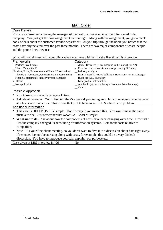## **Mail Order**

#### <span id="page-44-0"></span>Case Details

You are a consultant advising the manager of the customer service department for a mail order company. You just got the case assignment an hour ago. Along with the assignment, you got a black book of data about the customer service department. As you flip through the book you notice that the costs have skyrocketed over the past three months. There are two major components of costs, people and the phone lines they use.

What will you discuss with your client when you meet with her for the first time this afternoon.

| Frameworks                                            | Category                                                       |
|-------------------------------------------------------|----------------------------------------------------------------|
| Porter's Five Forces                                  | $M$ arket Research (How big/good is the market for X?)         |
| Three P's and the D                                   | x $Cost / revenue$ (Cost structure of producing $X / sales$ )  |
| (Product, Price, Promotions and Place / Distribution) | <b>Industry Analysis</b>                                       |
| $\Box$ Three C's (Company, Competitors and Customers) | _ Brain Teaser /Creative bullshit! (How many rats in Chicago?) |
| Financial statement / industry average analysis       | _ Business (SBU) Strategy                                      |
| x Other:                                              | $\equiv$ New product introduction                              |
| Not applicable                                        | _ Academic (eg derive theory of comparative advantage)         |
|                                                       | Other:                                                         |

#### Possible Approach

- You know costs have been skyrocketing.
- Ask about revenues. You'll find out they've been skyrocketing, too. In fact, revenues have increase at a faster rate than costs. This means that profits have increased. So there is no problem.

## Additional information

- This case is DECEPTIVELY simple. Don't worry if you missed this. You won't make the same mistake twice! Just remember that *Revenue - Costs = Profits*
- **What not to do** Ask about how the components of costs have been changing over time. How fast? Has the company changed its accounting or information systems. Ask about costs relative to competitors
- Note It's your first client meeting, so you don't want to dive into a discussion about data right away. If revenues haven't been rising along with costs, for example, this could be a very difficult discussion. You have to introduce yourself, explain your purpose etc.

| Case given at LBS interview in '96 | N <sub>0</sub> |  |
|------------------------------------|----------------|--|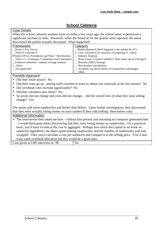## **School Cafeteria**

#### <span id="page-45-0"></span>Case Details

When the school cafeteria workers went on strike a few years ago, the school union experienced a significant increase in sales. However, when the financial for the quarter were reported, the union discovered the profits actually decreased. What happened?

| Frameworks                                            | Category                                                        |
|-------------------------------------------------------|-----------------------------------------------------------------|
| Porter's Five Forces                                  | $M$ arket Research (How big/good is the market for X?)          |
| Three P's and the D                                   | x $Cost / revenue$ (Cost structure of producing $X / sales$ )   |
| (Product, Price, Promotions and Place / Distribution) | <b>Industry Analysis</b>                                        |
| $\Box$ Three C's (Company, Competitors and Customers) | _ Brain Teaser / Creative bullshit! (How many rats in Chicago?) |
| Financial statement / industry average analysis       | _ Business (SBU) Strategy                                       |
| x Other:                                              | $\equiv$ New product introduction                               |
| Not applicable                                        | _ Academic (eg derive theory of comparative advantage)          |
|                                                       | Other:                                                          |

## Possible Approach

- Did they lower prices? No
- Did their costs go up paying staff overtime or extra to obtain raw materials at the last minute? No
- Did overhead costs increase significantly? No
- Did they introduce new items? No
- So prices did not change and costs did not change... did the overall mix of what they were selling change? Yes

The union sold more sandwiches and drinks than before. Upon further investigation, they discovered that they were actually losing money on each sandwich they sold (selling them below cost)

#### Additional information

• The interviewer then asked me how - without him present and assuming no computer generated date - I would have gone about discovering that they were losing money on sandwiches. On a practical basis, you'd have to look at the cost in aggregate. Perhaps how much they spend in an week on sandwich ingredients, the hours spent making sandwiches, and the number of sandwiches sold and scrapped. Then you'd calculate a cost per sandwich and compare it to the selling price. You'd also want some overhead allocation but this would be a good start.

Case given at LBS interview in '96  $\vert$  No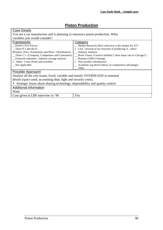## **Piston Production**

<span id="page-46-0"></span>

| Case Details                                                                                                              |                                                                |  |  |  |  |
|---------------------------------------------------------------------------------------------------------------------------|----------------------------------------------------------------|--|--|--|--|
| You are a car manufacture and is planning to outsource piston production. What                                            |                                                                |  |  |  |  |
| variables you would consider?                                                                                             |                                                                |  |  |  |  |
| <b>Frameworks</b>                                                                                                         | Category                                                       |  |  |  |  |
| Porter's Five Forces                                                                                                      | $\text{Market Research}$ (How attractive is the market for X?) |  |  |  |  |
| Three P's and the D                                                                                                       | x $Cost / revenue$ (Cost structure of producing $X / sales$ )  |  |  |  |  |
| (Product, Price, Promotions and Place / Distribution)                                                                     | _ Industry Analysis                                            |  |  |  |  |
| $\Box$ Three C's (Company, Competitors and Customers)<br>__ Brain Teaser / Creative bullshit! (How many rats in Chicago?) |                                                                |  |  |  |  |
| _ Business (SBU) Strategy<br>_Financial statement / industry average analysis                                             |                                                                |  |  |  |  |
| x New product introduction<br>x Other: Costs (fixed and variable)                                                         |                                                                |  |  |  |  |
| _ Academic (eg derive theory of comparative advantage)<br>Not applicable                                                  |                                                                |  |  |  |  |
|                                                                                                                           | Other                                                          |  |  |  |  |
| Possible Approach!                                                                                                        |                                                                |  |  |  |  |
| Analyse all the cost issues, fixed, variable and mainly OVERHEADS to minimal                                              |                                                                |  |  |  |  |
| details (space used, accounting dept, light and security costs).                                                          |                                                                |  |  |  |  |
| • Strategic issues about sharing technology, dependability and quality control                                            |                                                                |  |  |  |  |
| Additional information                                                                                                    |                                                                |  |  |  |  |
| None                                                                                                                      |                                                                |  |  |  |  |
| Yes<br>Case given at LBS interview in '96                                                                                 |                                                                |  |  |  |  |
|                                                                                                                           |                                                                |  |  |  |  |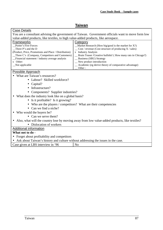## **Taiwan**

<span id="page-47-0"></span>

| Case Details                                                                                                      |                                                                                                    |  |  |  |  |  |
|-------------------------------------------------------------------------------------------------------------------|----------------------------------------------------------------------------------------------------|--|--|--|--|--|
|                                                                                                                   | You are a consultant advising the government of Taiwan. Government officials want to move form low |  |  |  |  |  |
| value-added products, like textiles, to high value-added products, like aerospace.                                |                                                                                                    |  |  |  |  |  |
| Frameworks                                                                                                        | <b>Category</b>                                                                                    |  |  |  |  |  |
| Porter's Five Forces                                                                                              | Market Research (How big/good is the market for X?)                                                |  |  |  |  |  |
| Three P's and the D<br>$\cos t$ / revenue (Cost structure of producing X / sales)                                 |                                                                                                    |  |  |  |  |  |
| (Product, Price, Promotions and Place / Distribution)<br>x Industry Analysis                                      |                                                                                                    |  |  |  |  |  |
| _Three C's (Company, Competitors and Customers)<br>_ Brain Teaser /Creative bullshit! (How many rats in Chicago?) |                                                                                                    |  |  |  |  |  |
| Financial statement / industry average analysis                                                                   | <b>Business (SBU) Strategy</b>                                                                     |  |  |  |  |  |
| x Other:                                                                                                          | _ New product introduction                                                                         |  |  |  |  |  |
| Not applicable                                                                                                    | _ Academic (eg derive theory of comparative advantage)                                             |  |  |  |  |  |
|                                                                                                                   | Other:                                                                                             |  |  |  |  |  |
| Possible Approach                                                                                                 |                                                                                                    |  |  |  |  |  |
| What are Taiwan's resources?                                                                                      |                                                                                                    |  |  |  |  |  |
| • Labour? Skilled workforce?                                                                                      |                                                                                                    |  |  |  |  |  |
| $\bullet$ Capital?                                                                                                |                                                                                                    |  |  |  |  |  |
| Infrastructure?                                                                                                   |                                                                                                    |  |  |  |  |  |
| • Components? Supplier industries?                                                                                |                                                                                                    |  |  |  |  |  |
| What does the industry look like on a global basis?                                                               |                                                                                                    |  |  |  |  |  |
| • Is it profitable? Is it growing?                                                                                |                                                                                                    |  |  |  |  |  |
|                                                                                                                   |                                                                                                    |  |  |  |  |  |
| • Who are the players / competitors? What are their competencies<br>• Can we find a niche?                        |                                                                                                    |  |  |  |  |  |
|                                                                                                                   |                                                                                                    |  |  |  |  |  |
| Who would the buyers be?                                                                                          |                                                                                                    |  |  |  |  |  |
|                                                                                                                   | • Can we serve them?                                                                               |  |  |  |  |  |
| Also, what will the country lose by moving away from low value-added products, like textiles?                     |                                                                                                    |  |  |  |  |  |
| • Dislocation of workers                                                                                          |                                                                                                    |  |  |  |  |  |
| <b>Additional information</b>                                                                                     |                                                                                                    |  |  |  |  |  |
| What not to do -                                                                                                  |                                                                                                    |  |  |  |  |  |
| Forget about profitability and competitors                                                                        |                                                                                                    |  |  |  |  |  |
| Ask about Taiwan's history and culture without addressing the issues in the case.                                 |                                                                                                    |  |  |  |  |  |
| Case given at LBS interview in '96                                                                                | N <sub>o</sub>                                                                                     |  |  |  |  |  |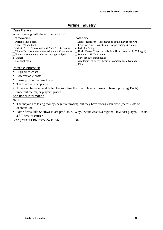## **Airline Industry**

<span id="page-48-0"></span>

| <b>Case Details</b>                                                                                  |                                                                                             |  |  |  |  |  |  |
|------------------------------------------------------------------------------------------------------|---------------------------------------------------------------------------------------------|--|--|--|--|--|--|
| What is wrong with the airline industry?                                                             |                                                                                             |  |  |  |  |  |  |
| Frameworks                                                                                           | Category                                                                                    |  |  |  |  |  |  |
| Porter's Five Forces                                                                                 | Market Research (How big/good is the market for $X$ ?)                                      |  |  |  |  |  |  |
| Three P's and the D                                                                                  | $\_\_$ Cost / revenue (Cost structure of producing X / sales)                               |  |  |  |  |  |  |
| (Product, Price, Promotions and Place / Distribution)<br>x Industry Analysis                         |                                                                                             |  |  |  |  |  |  |
| $\Box$ Three C's (Company, Competitors and Customers)                                                | Brain Teaser / Creative bullshit! (How many rats in Chicago?)                               |  |  |  |  |  |  |
| _Financial statement / industry average analysis                                                     | _ Business (SBU) Strategy                                                                   |  |  |  |  |  |  |
| x Other:                                                                                             | _ New product introduction                                                                  |  |  |  |  |  |  |
| Not applicable                                                                                       | _ Academic (eg derive theory of comparative advantage)                                      |  |  |  |  |  |  |
|                                                                                                      | Other:                                                                                      |  |  |  |  |  |  |
| <b>Possible Approach</b>                                                                             |                                                                                             |  |  |  |  |  |  |
| High fixed costs                                                                                     |                                                                                             |  |  |  |  |  |  |
| • Low variable costs                                                                                 |                                                                                             |  |  |  |  |  |  |
| Firms price at marginal cost.                                                                        |                                                                                             |  |  |  |  |  |  |
| • There is excess capacity                                                                           |                                                                                             |  |  |  |  |  |  |
|                                                                                                      | American has tried and failed to discipline the other players. Firms in bankruptcy (eg TWA) |  |  |  |  |  |  |
| undercut the major players' prices.                                                                  |                                                                                             |  |  |  |  |  |  |
| <b>Additional information</b>                                                                        |                                                                                             |  |  |  |  |  |  |
| NOTE-                                                                                                |                                                                                             |  |  |  |  |  |  |
| The majors are losing money (negative profits), but they have strong cash flow (there's lots of      |                                                                                             |  |  |  |  |  |  |
| depreciation.                                                                                        |                                                                                             |  |  |  |  |  |  |
| Some firms, like Southwest, are profitable. Why? Southwest is a regional, low cost player. It is not |                                                                                             |  |  |  |  |  |  |
| a full service carrier                                                                               |                                                                                             |  |  |  |  |  |  |
| Case given at LBS interview in '96                                                                   | N <sub>o</sub>                                                                              |  |  |  |  |  |  |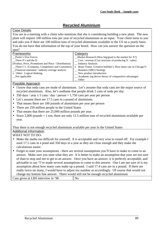## **Recycled Aluminium**

#### <span id="page-49-0"></span>Case Details

You are in a meeting with a client who mentions that she is considering building a new plant. The new plant will require 100 million tons per year of recycled aluminium as an input. Your client turns to you and asks you if there are 100 million tons of recycled aluminium available in the US on a yearly basis. You do not have that information of the top of your heard. How can you answer the question on the spot?

| Frameworks                                            | Category                                                       |
|-------------------------------------------------------|----------------------------------------------------------------|
| Porter's Five Forces                                  | $M$ arket Research (How big/good is the market for X?)         |
| Three P's and the D                                   | $\cos t$ / revenue (Cost structure of producing X / sales)     |
| (Product, Price, Promotions and Place / Distribution) | __ Industry Analysis                                           |
| $\Box$ Three C's (Company, Competitors and Customers) | x Brain Teaser /Creative bullshit! (How many rats in Chicago?) |
| Financial statement / industry average analysis       | _ Business (SBU) Strategy                                      |
| x Other: Logical thinking                             | $\equiv$ New product introduction                              |
| Not applicable                                        | _ Academic (eg derive theory of comparative advantage)         |
|                                                       | Other                                                          |

## Possible Approach

- I know that soda cans are made of aluminium. Let's assume that soda cans are the major source of recycled aluminium. Also, let's ass8ume that people drink 5 cans of soda per day.
- 350 days / year x 5 cans / day / person  $= 1,750$  cans per year per person
- Let's assume there are 17.5 cans in a pound of aluminium.
- That means there are 100 pounds of aluminium per year per person
- There are 250 million people in the United States
- That means that there are 25,000 million pounds per year.
- Since 2,000 pounds  $= 1$  ton, there are only 12.5 million tons of recycled aluminium available per year.

Thus there is not enough recycled aluminium available per year in the United States

## Additional information

#### WHAT NOT TO DO-

- Make the maths too difficult for yourself. It is acceptable and very wise to round off. For example I used 17.5 cans in a pond and 350 days in a year as they are close enough and they make the calculations easier.
- Forget to state your assumptions there are several assumptions you'll have to make to come to an answer. Make sure you state what they are. It is better to make an assumption that your are not sure of than to stop and not to get to an answer. Once you have an answer, it is perfectly acceptable, and advisable to say "I've made several assumptions to come to this answer. One I am not sure of is my assumption about how many cans make up a pound. I said 17.4 cans are in a pound. If there are really twice tat many, I would have to adjust my number as accordingly. Of course that would not change my bottom line answer. There would still not be enough recycled aluminium

Case given at LBS interview in '96 No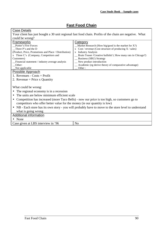## **Fast Food Chain**

<span id="page-50-0"></span>

| <b>Case Details</b>                                                                                      |                                                                                                         |  |  |  |  |
|----------------------------------------------------------------------------------------------------------|---------------------------------------------------------------------------------------------------------|--|--|--|--|
|                                                                                                          | Your client has just bought a 30 unit regional fast food chain. Profits of the chain are negative. What |  |  |  |  |
| could be wrong?                                                                                          |                                                                                                         |  |  |  |  |
| Frameworks                                                                                               | Category                                                                                                |  |  |  |  |
| Porter's Five Forces                                                                                     | _Market Research (How big/good is the market for $X$ ?)                                                 |  |  |  |  |
| Three P's and the D                                                                                      | x $Cost / revenue$ (Cost structure of producing $X / sales$ )                                           |  |  |  |  |
| (Product, Price, Promotions and Place / Distribution)                                                    | x Industry Analysis                                                                                     |  |  |  |  |
| x Three C's (Company, Competitors and                                                                    | _ Brain Teaser / Creative bullshit! (How many rats in Chicago?)                                         |  |  |  |  |
| Customers)                                                                                               | _ Business (SBU) Strategy                                                                               |  |  |  |  |
| Financial statement / industry average analysis                                                          | _New product introduction                                                                               |  |  |  |  |
| Other:                                                                                                   | _ Academic (eg derive theory of comparative advantage)                                                  |  |  |  |  |
| Not applicable                                                                                           | Other:                                                                                                  |  |  |  |  |
| Possible Approach                                                                                        |                                                                                                         |  |  |  |  |
| 1. Revenues - $Costs = Profit$                                                                           |                                                                                                         |  |  |  |  |
| 2. Revenue = Price x Quantity                                                                            |                                                                                                         |  |  |  |  |
|                                                                                                          |                                                                                                         |  |  |  |  |
| What could be wrong:                                                                                     |                                                                                                         |  |  |  |  |
| The regional economy is in a recession                                                                   |                                                                                                         |  |  |  |  |
| The units are below minimum efficient scale                                                              |                                                                                                         |  |  |  |  |
| Competition has increased (more Taco Bells) - now our price is too high, so customers go to<br>$\bullet$ |                                                                                                         |  |  |  |  |
| competitors who offer better value for the money (ie our quantity is low)                                |                                                                                                         |  |  |  |  |
| • NB - Each store has its own story - you will probably have to move to the store level to understand    |                                                                                                         |  |  |  |  |
| what is going wrong                                                                                      |                                                                                                         |  |  |  |  |
| Additional information                                                                                   |                                                                                                         |  |  |  |  |
|                                                                                                          |                                                                                                         |  |  |  |  |
| • None                                                                                                   |                                                                                                         |  |  |  |  |

Case given at LBS interview in '96  $\vert$  No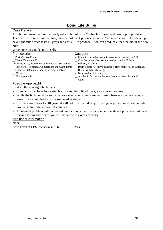## **Long Life Bulbs**

## <span id="page-51-0"></span>Case Details

A light bulb manufacturer currently sells light bulbs for £1 that last 1 year and cost 50p to produce. There are three other competitors, and each of the 4 producers have 25% market share. They develop a new light bulb which lasts 10 years and costs £1 to produce. You can produce either the old or the new bulb.

Which one do you decide to sell?

| <b>Frameworks</b>                                     | Category                                                        |
|-------------------------------------------------------|-----------------------------------------------------------------|
| Porter's Five Forces                                  | x Market Research (How attractive is the market for $X$ ?)      |
| Three P's and the D                                   | $\cos t$ / revenue (Cost structure of producing X / sales)      |
| (Product, Price, Promotions and Place / Distribution) | _ Industry Analysis                                             |
| $\Box$ Three C's (Company, Competitors and Customers) | _ Brain Teaser / Creative bullshit! (How many rats in Chicago?) |
| Financial statement / industry average analysis       | _ Business (SBU) Strategy                                       |
| Other:                                                | x New product introduction                                      |
| x Not applicable                                      | _ Academic (eg derive theory of comparative advantage)          |
|                                                       | Other                                                           |

## Possible Approach!

Produce the new light bulb, because;

- Company must have low variable costs and high fixed costs, so you want volume.
- While the bulb could be sold at a price where consumers are indifferent between the two types, a lower price could lead to increased market share.
- Just because it lasts for 10 years, it will not ruin the industry. The higher price should compensate producers for reduced overall volumes.
- A potential problem with increased production is that if your competitors develop the new bulb and regain their market share, you will be left with excess capacity

## Additional information

None

Case given at LBS interview in '96 Yes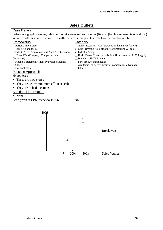## **Sales Outlets**

<span id="page-52-0"></span>

| Below is a graph showing sales per outlet versus return on sales (ROS). (Each x represents one store.)<br>What hypotheses can you come up with for why some points are below the break-even line.<br><b>Frameworks</b><br>Category<br><b>Porter's Five Forces</b><br>_Market Research (How big/good is the market for $X$ ?)<br>x Cost / revenue (Cost structure of producing $X$ / sales)<br>Three P's and the D<br>x Industry Analysis<br>(Product, Price, Promotions and Place / Distribution)<br>x Three C's (Company, Competitors and<br>_ Brain Teaser / Creative bullshit! (How many rats in Chicago?)<br><b>Business (SBU) Strategy</b><br>Customers)<br>_ New product introduction<br>Financial statement / industry average analysis<br>_ Academic (eg derive theory of comparative advantage)<br>Other:<br>Other:<br>Not applicable<br>Possible Approach<br>Hypotheses<br>These are new stores<br>They are below minimum efficient scale<br>They are in bad locations<br>Additional information<br>$\bullet$ None<br>Case given at LBS interview in '96<br>N <sub>0</sub> | Case Details |  |  |  |  |  |
|--------------------------------------------------------------------------------------------------------------------------------------------------------------------------------------------------------------------------------------------------------------------------------------------------------------------------------------------------------------------------------------------------------------------------------------------------------------------------------------------------------------------------------------------------------------------------------------------------------------------------------------------------------------------------------------------------------------------------------------------------------------------------------------------------------------------------------------------------------------------------------------------------------------------------------------------------------------------------------------------------------------------------------------------------------------------------------------|--------------|--|--|--|--|--|
|                                                                                                                                                                                                                                                                                                                                                                                                                                                                                                                                                                                                                                                                                                                                                                                                                                                                                                                                                                                                                                                                                      |              |  |  |  |  |  |
|                                                                                                                                                                                                                                                                                                                                                                                                                                                                                                                                                                                                                                                                                                                                                                                                                                                                                                                                                                                                                                                                                      |              |  |  |  |  |  |
|                                                                                                                                                                                                                                                                                                                                                                                                                                                                                                                                                                                                                                                                                                                                                                                                                                                                                                                                                                                                                                                                                      |              |  |  |  |  |  |
|                                                                                                                                                                                                                                                                                                                                                                                                                                                                                                                                                                                                                                                                                                                                                                                                                                                                                                                                                                                                                                                                                      |              |  |  |  |  |  |
|                                                                                                                                                                                                                                                                                                                                                                                                                                                                                                                                                                                                                                                                                                                                                                                                                                                                                                                                                                                                                                                                                      |              |  |  |  |  |  |
|                                                                                                                                                                                                                                                                                                                                                                                                                                                                                                                                                                                                                                                                                                                                                                                                                                                                                                                                                                                                                                                                                      |              |  |  |  |  |  |
|                                                                                                                                                                                                                                                                                                                                                                                                                                                                                                                                                                                                                                                                                                                                                                                                                                                                                                                                                                                                                                                                                      |              |  |  |  |  |  |
|                                                                                                                                                                                                                                                                                                                                                                                                                                                                                                                                                                                                                                                                                                                                                                                                                                                                                                                                                                                                                                                                                      |              |  |  |  |  |  |
|                                                                                                                                                                                                                                                                                                                                                                                                                                                                                                                                                                                                                                                                                                                                                                                                                                                                                                                                                                                                                                                                                      |              |  |  |  |  |  |
|                                                                                                                                                                                                                                                                                                                                                                                                                                                                                                                                                                                                                                                                                                                                                                                                                                                                                                                                                                                                                                                                                      |              |  |  |  |  |  |
|                                                                                                                                                                                                                                                                                                                                                                                                                                                                                                                                                                                                                                                                                                                                                                                                                                                                                                                                                                                                                                                                                      |              |  |  |  |  |  |
|                                                                                                                                                                                                                                                                                                                                                                                                                                                                                                                                                                                                                                                                                                                                                                                                                                                                                                                                                                                                                                                                                      |              |  |  |  |  |  |
|                                                                                                                                                                                                                                                                                                                                                                                                                                                                                                                                                                                                                                                                                                                                                                                                                                                                                                                                                                                                                                                                                      |              |  |  |  |  |  |
|                                                                                                                                                                                                                                                                                                                                                                                                                                                                                                                                                                                                                                                                                                                                                                                                                                                                                                                                                                                                                                                                                      |              |  |  |  |  |  |
|                                                                                                                                                                                                                                                                                                                                                                                                                                                                                                                                                                                                                                                                                                                                                                                                                                                                                                                                                                                                                                                                                      |              |  |  |  |  |  |
|                                                                                                                                                                                                                                                                                                                                                                                                                                                                                                                                                                                                                                                                                                                                                                                                                                                                                                                                                                                                                                                                                      |              |  |  |  |  |  |
|                                                                                                                                                                                                                                                                                                                                                                                                                                                                                                                                                                                                                                                                                                                                                                                                                                                                                                                                                                                                                                                                                      |              |  |  |  |  |  |
|                                                                                                                                                                                                                                                                                                                                                                                                                                                                                                                                                                                                                                                                                                                                                                                                                                                                                                                                                                                                                                                                                      |              |  |  |  |  |  |
|                                                                                                                                                                                                                                                                                                                                                                                                                                                                                                                                                                                                                                                                                                                                                                                                                                                                                                                                                                                                                                                                                      |              |  |  |  |  |  |

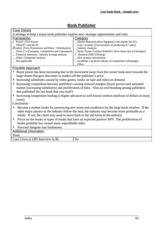## **Book Publisher**

<span id="page-53-0"></span>

| <b>Case Details</b>                                                                                        |                                                                                                      |  |  |  |  |  |
|------------------------------------------------------------------------------------------------------------|------------------------------------------------------------------------------------------------------|--|--|--|--|--|
| A strategy to help a major book publisher explore new strategic opportunities and risks.                   |                                                                                                      |  |  |  |  |  |
| <b>Frameworks</b><br>Category                                                                              |                                                                                                      |  |  |  |  |  |
| x Porter's Five Forces                                                                                     | Market Research (How big/good is the market for X?)                                                  |  |  |  |  |  |
| Three P's and the D                                                                                        | $\text{Cost}/\text{ revenue}$ (Cost structure of producing X / sales)                                |  |  |  |  |  |
| (Product, Price, Promotions and Place / Distribution)                                                      | Industry Analysis                                                                                    |  |  |  |  |  |
| Three C's (Company, Competitors and Customers)                                                             | Brain Teaser / Creative bullshit! (How many rats in Chicago?)                                        |  |  |  |  |  |
| Financial statement / industry average analysis                                                            | x Business (SBU) Strategy                                                                            |  |  |  |  |  |
| Other: Competitor analysis                                                                                 | New product introduction                                                                             |  |  |  |  |  |
| Not applicable                                                                                             | Academic (eg derive theory of comparative advantage)<br>Other:                                       |  |  |  |  |  |
| Possible Approach                                                                                          |                                                                                                      |  |  |  |  |  |
|                                                                                                            | Buyer power has been increasing due to the movement away from the corner book store towards the      |  |  |  |  |  |
| large chains that give discounts to readers off the publisher's price.                                     |                                                                                                      |  |  |  |  |  |
| • Increasing substitutes caused by video games, books on tape and video on demand.                         |                                                                                                      |  |  |  |  |  |
| Increasing competition between publishers causing reduced margins (buyer power) and saturated              |                                                                                                      |  |  |  |  |  |
| market (increasing substitutes) and proliferation of titles. Also no real branding among publishers        |                                                                                                      |  |  |  |  |  |
| that published the last book that you read?)                                                               |                                                                                                      |  |  |  |  |  |
| $\bullet$                                                                                                  | Increasing competition leading to higher advances to well known authors (millions of dollars in many |  |  |  |  |  |
| cases).                                                                                                    |                                                                                                      |  |  |  |  |  |
| Conclusion:-                                                                                               |                                                                                                      |  |  |  |  |  |
|                                                                                                            | Become a market leader by announcing new terms and conditions for the large book retailers. If the   |  |  |  |  |  |
| other major players in the industry follow the lead, the industry may become more profitable as a          |                                                                                                      |  |  |  |  |  |
| whole. If not, the client may need to move back to the old terms in the industry.                          |                                                                                                      |  |  |  |  |  |
| Focus on the books or types of books that have an expected positive NPV. The proliferation of<br>$\bullet$ |                                                                                                      |  |  |  |  |  |
| books probably has caused many unprofitable titles.                                                        |                                                                                                      |  |  |  |  |  |
| Forward integrate into bookstores<br>$\bullet$                                                             |                                                                                                      |  |  |  |  |  |
| <b>Additional information</b>                                                                              |                                                                                                      |  |  |  |  |  |
| None                                                                                                       |                                                                                                      |  |  |  |  |  |
| Case Given at LBS Interview in 96                                                                          | N <sub>o</sub>                                                                                       |  |  |  |  |  |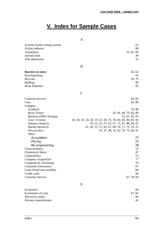## **V. Index for Sample Cases**

<span id="page-54-0"></span>

|                                                   |  | A             |  |                                                            |  |                                    |  |                        |            |            |
|---------------------------------------------------|--|---------------|--|------------------------------------------------------------|--|------------------------------------|--|------------------------|------------|------------|
| Activity based costing system<br>Airline industry |  |               |  |                                                            |  |                                    |  |                        |            | 63<br>88   |
| Aluminium                                         |  |               |  |                                                            |  |                                    |  |                        | 53, 62, 89 |            |
| Animal food<br>Anti depressant                    |  |               |  |                                                            |  |                                    |  |                        |            | 49<br>52   |
|                                                   |  |               |  |                                                            |  |                                    |  |                        |            |            |
|                                                   |  | B             |  |                                                            |  |                                    |  |                        |            |            |
| <b>Barriers to entry</b>                          |  |               |  |                                                            |  |                                    |  |                        |            | 62, 63     |
| Benchmarking                                      |  |               |  |                                                            |  |                                    |  |                        |            | 43         |
| <b>Bicycles</b>                                   |  |               |  |                                                            |  |                                    |  |                        |            | 59, 79     |
| <b>Bidding</b>                                    |  |               |  |                                                            |  |                                    |  |                        |            | 80         |
| <b>Book Publisher</b>                             |  |               |  |                                                            |  |                                    |  |                        |            | 93         |
|                                                   |  | $\mathcal{C}$ |  |                                                            |  |                                    |  |                        |            |            |
| Cafeteria services                                |  |               |  |                                                            |  |                                    |  |                        |            | 44, 85     |
| Cans                                              |  |               |  |                                                            |  |                                    |  |                        |            | 50, 89     |
| Category                                          |  |               |  |                                                            |  |                                    |  |                        |            |            |
| Academic                                          |  |               |  |                                                            |  |                                    |  |                        |            | 79,80      |
| <b>Brain Teaser</b>                               |  |               |  |                                                            |  |                                    |  | 45, 46, 48, 70, 82, 89 |            |            |
| <b>Business (SBU) Strategy</b>                    |  |               |  |                                                            |  |                                    |  | 55, 61, 83, 93         |            |            |
| Cost / revenue                                    |  |               |  | 43, 44, 50, 54, 58, 59, 67, 69, 75, 76, 84, 85, 86, 90, 92 |  |                                    |  |                        |            |            |
| <b>Industry Analysis</b><br>Market Research       |  |               |  | 50, 53, 55, 57, 63, 67, 75, 87, 88, 90, 92                 |  |                                    |  |                        |            |            |
| New product                                       |  |               |  | 41, 49, 52, 57, 65, 67, 68, 70, 71, 72, 74, 91             |  | 41, 47, 48, 52, 62, 70, 75, 86, 91 |  |                        |            |            |
| <i>Other</i>                                      |  |               |  |                                                            |  |                                    |  |                        |            |            |
| Acquisition                                       |  |               |  |                                                            |  |                                    |  |                        |            | 77         |
| Pricing                                           |  |               |  |                                                            |  |                                    |  |                        |            | 72         |
| Re-engineering                                    |  |               |  |                                                            |  |                                    |  |                        |            | 78         |
| China products                                    |  |               |  |                                                            |  |                                    |  |                        |            | 55         |
| Cholesterol Meter                                 |  |               |  |                                                            |  |                                    |  |                        |            | 47         |
| Commodities                                       |  |               |  |                                                            |  |                                    |  |                        |            | 53         |
| Company Acquisition                               |  |               |  |                                                            |  |                                    |  |                        |            | $77\,$     |
| Comparative Advantage                             |  |               |  |                                                            |  |                                    |  |                        |            | 79         |
| <b>Consumer Electronics</b>                       |  |               |  |                                                            |  |                                    |  |                        |            | 67         |
| Costs (fixed and variable)                        |  |               |  |                                                            |  |                                    |  |                        |            | 86         |
| Credit cards                                      |  |               |  |                                                            |  |                                    |  |                        |            | 68         |
| <b>Customer Service</b>                           |  |               |  |                                                            |  |                                    |  |                        |            | 67, 78, 84 |
|                                                   |  | E             |  |                                                            |  |                                    |  |                        |            |            |
| Economics                                         |  |               |  |                                                            |  |                                    |  |                        |            | 80         |
| Economies of scale                                |  |               |  |                                                            |  |                                    |  |                        |            | 67, 83     |
| Electricity utility                               |  |               |  |                                                            |  |                                    |  |                        |            | 80         |

Elevator manufacturer 43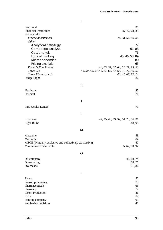|                                                                                                                                                                                            | F                                                                                                                                                                 |
|--------------------------------------------------------------------------------------------------------------------------------------------------------------------------------------------|-------------------------------------------------------------------------------------------------------------------------------------------------------------------|
| <b>Fast Food</b><br><b>Financial Institutions</b><br>Frameworks                                                                                                                            | 90<br>75, 77, 78, 83                                                                                                                                              |
| Financial statement<br>Other                                                                                                                                                               | 44, 58, 67, 69, 85                                                                                                                                                |
| Analytical / strategy<br>Competitor analysis<br>Cost analysis<br>Logical thinking<br><b>Microeconomics</b><br>Pricing analysis<br>Porter's Five Forces<br>Three C's<br>Three P's and the D | 77<br>61,83<br>76<br>45, 46, 53, 89<br>80<br>65<br>48, 55, 57, 62, 63, 67, 71, 75, 93<br>48, 50, 53, 54, 55, 57, 63, 67, 68, 71, 72, 90, 92<br>43, 47, 67, 72, 74 |
| Fridge Light                                                                                                                                                                               | 82                                                                                                                                                                |
|                                                                                                                                                                                            | H                                                                                                                                                                 |
| Heathrow<br>Hospital                                                                                                                                                                       | 45<br>76                                                                                                                                                          |
|                                                                                                                                                                                            | I                                                                                                                                                                 |
| <b>Intra Ocular Lenses</b>                                                                                                                                                                 | 71                                                                                                                                                                |
|                                                                                                                                                                                            | L                                                                                                                                                                 |
| LBS case<br><b>Light Bulbs</b>                                                                                                                                                             | 42, 45, 48, 49, 52, 54, 70, 86, 91<br>48, 91                                                                                                                      |
|                                                                                                                                                                                            | M                                                                                                                                                                 |
| Magazine<br>Mail order<br>MECE (Mutually exclusive and collectively exhaustive)<br>Minimum efficient scale                                                                                 | 58<br>84<br>50<br>55, 62, 90, 92                                                                                                                                  |
|                                                                                                                                                                                            | O                                                                                                                                                                 |
| Oil company<br>Outsourcing<br>Overheads                                                                                                                                                    | 46, 68, 74<br>68, 75<br>61,86                                                                                                                                     |
|                                                                                                                                                                                            | $\mathbf{P}$                                                                                                                                                      |
| Patent<br>Payroll processing<br>Pharmaceuticals<br>Pharmacy<br><b>Piston Production</b><br>Pizza<br>Printing company<br>Purchasing decisions                                               | 52<br>75<br>65<br>72<br>86<br>54<br>69<br>47                                                                                                                      |